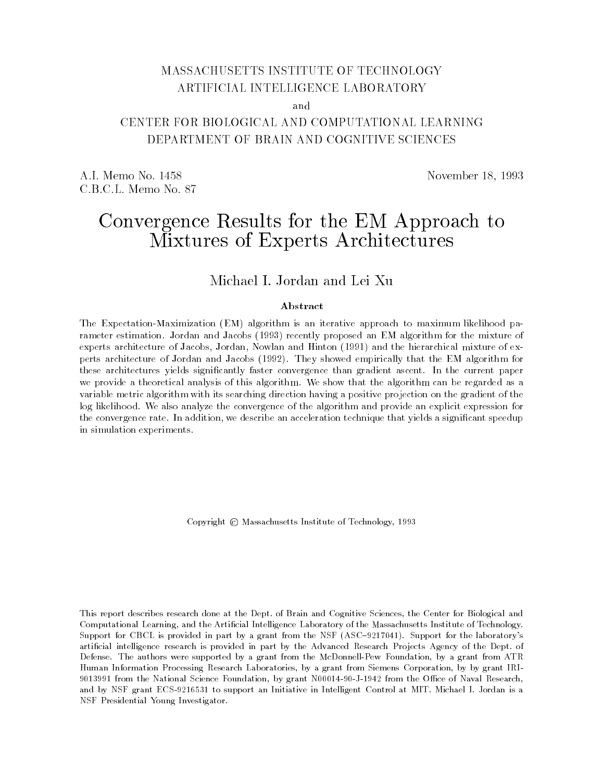# MASSACHUSETTS INSTITUTE OF TECHNOLOGY ARTIFICIAL INTELLIGENCE LABORATORY

and

# DEPARTMENT OF BRAIN AND COGNITIVE SCIENCES

A.I. Memo No. 1458 November 18, 1993 C.B.C.L. Memo No. 87

# Convergence Results for the EM Approach to Mixtures of Experts Architectures

Michael I. Jordan and Lei Xu

#### Abstract

The Expectation-Maximization (EM) algorithm is an iterative approach to maximum likelihood parameter estimation. Jordan and Jacobs (1993) recently proposed an EM algorithm for the mixture ofexperts architecture of Jacobs, Jordan, Nowlan and Hinton (1991) and the hierarchical mixture of experts architecture of Jordan and Jacobs (1992). They showed empirically that the EM algorithm forthese architectures yields signicantly faster convergence than gradient ascent. In the current paperwe provide a theoretical analysis of this algorithm. We show that the algorithm can be regarded as avariable metric algorithm with its searching direction having a positive projection on the gradient of thelog likelihood. We also analyze the convergence of the algorithm and provide an explicit expression forthe convergence rate. In addition, we describe an acceleration technique that yields a signicant speedupin simulation experiments.

Copyright  $\odot$  Massachusetts Institute of Technology, 1993

This report describes research done at the Dept. of Brain and Cognitive Sciences, the Center for Biological and Computational Learning, and the Articial Intelligence Laboratory of the Massachusetts Institute of Technology. Support for CBCL is provided in part by a grant from the NSF (ASC-9217041). Support for the laboratory's artificial intelligence research is provided in part by the Advanced Research Projects Agency of the Dept. of Defense. The authors were supported by a grant from the McDonnell-Pew Foundation, by a grant from ATR Human Information Processing Research Laboratories, by a grant from Siemens Corporation, by by grant IRI-9013991 from the National Science Foundation, by grant N00014-90-J-1942 from the Office of Naval Research, and by NSF grant ECS-9216531 to support an Initiative in Intelligent Control at MIT. Michael I. Jordan is a NSF Presidential Young Investigator.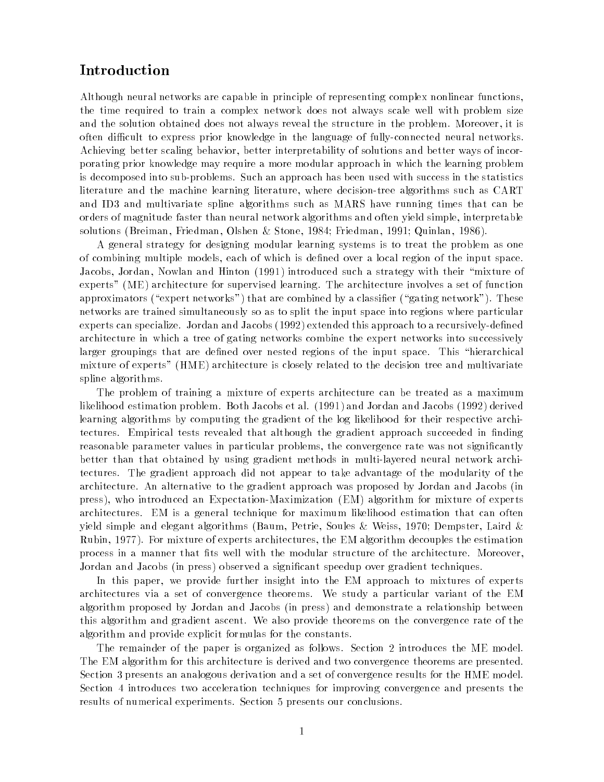## Introduction

Although neural networks are capable in principle of representing complex nonlinear functions, the time required to train a complex network does not always scale well with problem size and the solution obtained does not always reveal the structure in the problem. Moreover, it is often difficult to express prior knowledge in the language of fully-connected neural networks. Achieving better scaling behavior, better interpretability of solutions and better ways of incorporating prior knowledge may require a more modular approach in which the learning problem is decomposed into sub-problems. Such an approach has been used with success in the statistics literature and the machine learning literature, where decision-tree algorithms such as CART and ID3 and multivariate spline algorithms such as MARS have running times that can be orders of magnitude faster than neural network algorithms and often yield simple, interpretable solutions (Breiman, Friedman, Olshen & Stone, 1984; Friedman, 1991; Quinlan, 1986).

A general strategy for designing modular learning systems is to treat the problem as one of combining multiple models, each of which is defined over a local region of the input space. Jacobs, Jordan, Nowlan and Hinton (1991) introduced such a strategy with their \mixture of experts" (ME) architecture for supervised learning. The architecture involves a set of function approximators ("expert networks") that are combined by a classifier ("gating network"). These networks are trained simultaneously so as to split the input space into regions where particular experts can specialize. Jordan and Jacobs (1992) extended this approach to a recursively-defined architecture in which a tree of gating networks combine the expert networks into successively larger groupings that are defined over nested regions of the input space. This "hierarchical mixture of experts" (HME) architecture is closely related to the decision tree and multivariate spline algorithms.

The problem of training a mixture of experts architecture can be treated as a maximum likelihood estimation problem. Both Jacobs et al. (1991) and Jordan and Jacobs (1992) derived learning algorithms by computing the gradient of the log likelihood for their respective architectures. Empirical tests revealed that although the gradient approach succeeded in finding reasonable parameter values in particular problems, the convergence rate was not significantly better than that obtained by using gradient methods in multi-layered neural network architectures. The gradient approach did not appear to take advantage of the modularity of the architecture. An alternative to the gradient approach was proposed by Jordan and Jacobs (in press), who introduced an Expectation-Maximization (EM) algorithm for mixture of experts architectures. EM is a general technique for maximum likelihood estimation that can often yield simple and elegant algorithms (Baum, Petrie, Soules & Weiss, 1970; Dempster, Laird & Rubin, 1977). For mixture of experts architectures, the EM algorithm decouples the estimation process in a manner that fits well with the modular structure of the architecture. Moreover, Jordan and Jacobs (in press) observed a signicant speedup over gradient techniques.

In this paper, we provide further insight into the EM approach to mixtures of experts architectures via a set of convergence theorems. We study a particular variant of the EM algorithm proposed by Jordan and Jacobs (in press) and demonstrate a relationship between this algorithm and gradient ascent. We also provide theorems on the convergence rate of the algorithm and provide explicit formulas for the constants.

The remainder of the paper is organized as follows. Section 2 introduces the ME model. The EM algorithm for this architecture is derived and two convergence theorems are presented. Section 3 presents an analogous derivation and a set of convergence results for the HME model. Section 4 introduces two acceleration techniques for improving convergence and presents the results of numerical experiments. Section 5 presents our conclusions.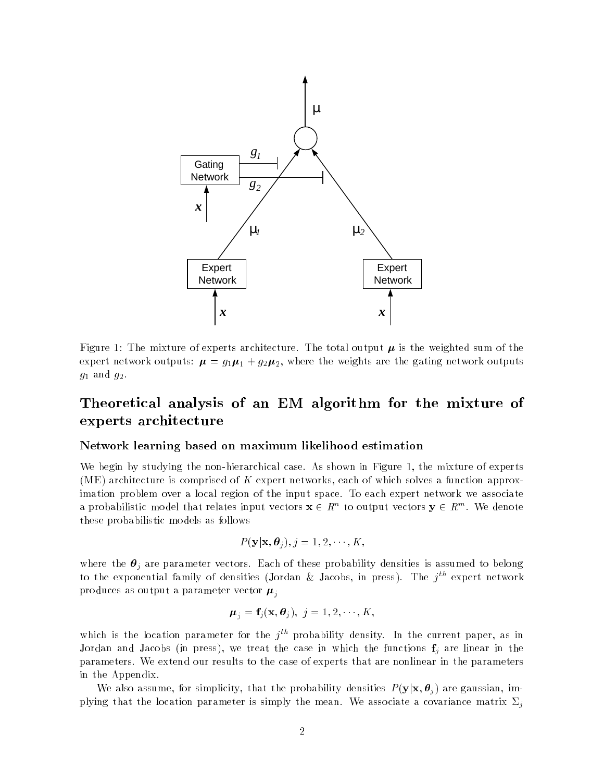

Figure 1: The mixture of experts architecture. The total output  $\mu$  is the weighted sum of the expert network outputs:  $\mu = g_1 \mu_1 + g_2 \mu_2$ , where the weights are the gating network outputs  $g_1$  and  $g_2$ .

# Theoretical analysis of an EM algorithm for the mixture of experts architecture

#### Network learning based on maximum likelihood estimation

We begin by studying the non-hierarchical case. As shown in Figure 1, the mixture of experts (ME) architecture is comprised of K expert networks, each of which solves a function approximation problem over a local region of the input space. To each expert network we associate a probabilistic model that relates input vectors  $\mathbf{x} \in \mathbb{R}^n$  to output vectors  $\mathbf{y} \in \mathbb{R}^m$ . We denote these probabilistic models as follows

$$
P(\mathbf{y}|\mathbf{x},\boldsymbol{\theta}_j), j=1,2,\cdots,K,
$$

where the  $\theta_j$  are parameter vectors. Each of these probability densities is assumed to belong to the exponential family of densities (Jordan & Jacobs, in press). The  $j^{th}$  expert network produces as output a parameter vector  $\mu_i$ 

$$
\boldsymbol{\mu}_j = \mathbf{f}_j(\mathbf{x}, \boldsymbol{\theta}_j), \ j = 1, 2, \cdots, K,
$$

which is the location parameter for the  $i^{th}$  probability density. In the current paper, as in Jordan and Jacobs (in press), we treat the case in which the functions  $\mathbf{f}_i$  are linear in the parameters. We extend our results to the case of experts that are nonlinear in the parameters in the Appendix.

We also assume, for simplicity, that the probability densities  $P(\mathbf{y}|\mathbf{x}, \theta_i)$  are gaussian, implying that the location parameter is simply the mean. We associate a covariance matrix  $\Sigma_i$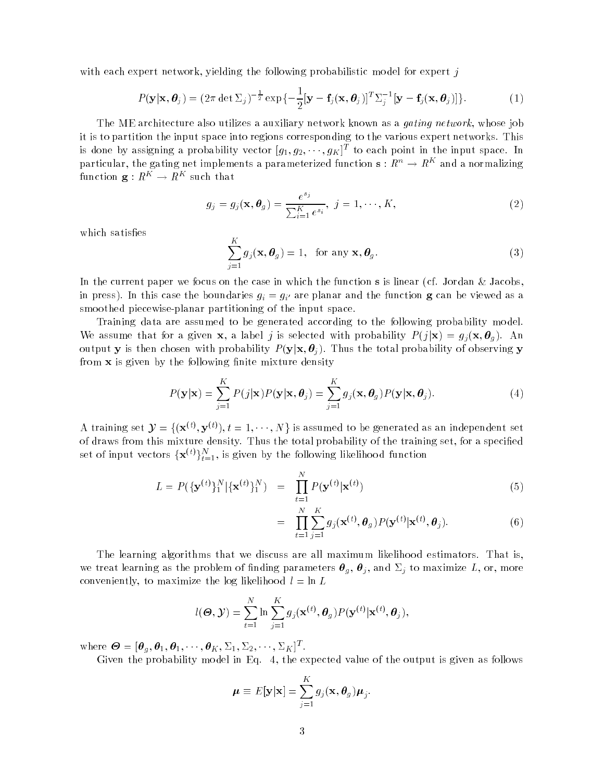with each expert network, yielding the following probabilistic model for expert j

$$
P(\mathbf{y}|\mathbf{x},\boldsymbol{\theta}_j) = (2\pi \det \Sigma_j)^{-\frac{1}{2}} \exp\{-\frac{1}{2}[\mathbf{y}-\mathbf{f}_j(\mathbf{x},\boldsymbol{\theta}_j)]^T \Sigma_j^{-1} [\mathbf{y}-\mathbf{f}_j(\mathbf{x},\boldsymbol{\theta}_j)]\}.
$$
 (1)

The ME architecture also utilizes a auxiliary network known as a *gating network*, whose job it is to partition the input space into regions corresponding to the various expert networks. This is done by assigning a probability vector  $[g_1, g_2, \dots, g_K]^T$  to each point in the input space. In particular, the gating net implements a parameterized function  $\mathbf{s}: R^n \to R^K$  and a normalizing function  $\mathbf{g}:R^K\to R^K$  such that

$$
g_j = g_j(\mathbf{x}, \boldsymbol{\theta}_g) = \frac{e^{s_j}}{\sum_{i=1}^K e^{s_i}}, \ j = 1, \cdots, K,
$$
\n
$$
(2)
$$

which satisfies

$$
\sum_{j=1}^{K} g_j(\mathbf{x}, \boldsymbol{\theta}_g) = 1, \text{ for any } \mathbf{x}, \boldsymbol{\theta}_g.
$$
 (3)

In the current paper we focus on the case in which the function s is linear (cf. Jordan & Jacobs, in press). In this case the boundaries  $g_i = g_{i'}$  are planar and the function g can be viewed as a smoothed piecewise-planar partitioning of the input space.

Training data are assumed to be generated according to the following probability model. We assume that for a given **x**, a label j is selected with probability  $P(j|\mathbf{x}) = g_j(\mathbf{x}, \theta_q)$ . An output y is then chosen with probability  $P(y|x, \theta_i)$ . Thus the total probability of observing y from  $x$  is given by the following finite mixture density

$$
P(\mathbf{y}|\mathbf{x}) = \sum_{j=1}^{K} P(j|\mathbf{x}) P(\mathbf{y}|\mathbf{x}, \boldsymbol{\theta}_j) = \sum_{j=1}^{K} g_j(\mathbf{x}, \boldsymbol{\theta}_g) P(\mathbf{y}|\mathbf{x}, \boldsymbol{\theta}_j).
$$
(4)

A training set  $\mathcal{Y} = \{(\mathbf{x}^{(t)}, \mathbf{y}^{(t)}), t = 1, \dots, N\}$  is assumed to be generated as an independent set of draws from this mixture density. Thus the total probability of the training set, for a specied set of input vectors  $\{{\bf x}^{(t)}\}_{t=1}^N$ , is given by the following likelihood function

$$
L = P(\{\mathbf{y}^{(t)}\}_1^N | \{\mathbf{x}^{(t)}\}_1^N) = \prod_{t=1}^N P(\mathbf{y}^{(t)} | \mathbf{x}^{(t)})
$$
\n(5)

$$
= \prod_{t=1}^{N} \sum_{j=1}^{K} g_j(\mathbf{x}^{(t)}, \boldsymbol{\theta}_g) P(\mathbf{y}^{(t)} | \mathbf{x}^{(t)}, \boldsymbol{\theta}_j).
$$
(6)

The learning algorithms that we discuss are all maximum likelihood estimators. That is, we treat learning as the problem of finding parameters  $\bm{\theta}_g$ ,  $\bm{\theta}_j$ , and  $\Sigma_j$  to maximize L, or, more conveniently, to maximize the log likelihood  $l = \ln L$ 

$$
l(\boldsymbol{\Theta}, \boldsymbol{\mathcal{Y}}) = \sum_{t=1}^{N} \ln \sum_{j=1}^{K} g_j(\mathbf{x}^{(t)}, \boldsymbol{\theta}_g) P(\mathbf{y}^{(t)} | \mathbf{x}^{(t)}, \boldsymbol{\theta}_j),
$$

where  $\boldsymbol{\Theta} = [\boldsymbol{\theta}_g, \boldsymbol{\theta}_1, \boldsymbol{\theta}_1, \cdots, \boldsymbol{\theta}_K, \Sigma_1, \Sigma_2, \cdots, \Sigma_K]^T.$ 

Given the probability model in Eq. 4, the expected value of the output is given as follows

$$
\boldsymbol{\mu} \equiv E[\mathbf{y}|\mathbf{x}] = \sum_{j=1}^K g_j(\mathbf{x}, \boldsymbol{\theta}_g) \boldsymbol{\mu}_j.
$$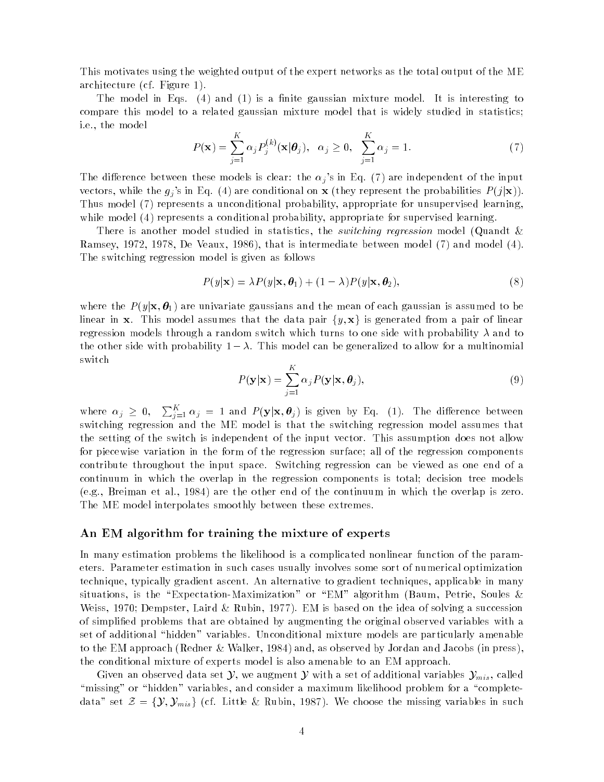This motivates using the weighted output of the expert networks as the total output of the ME architecture (cf. Figure 1).

The model in Eqs.  $(4)$  and  $(1)$  is a finite gaussian mixture model. It is interesting to compare this model to a related gaussian mixture model that is widely studied in statistics; i.e., the model

$$
P(\mathbf{x}) = \sum_{j=1}^{K} \alpha_j P_j^{(k)}(\mathbf{x}|\boldsymbol{\theta}_j), \quad \alpha_j \ge 0, \quad \sum_{j=1}^{K} \alpha_j = 1.
$$
 (7)

The difference between these models is clear: the  $\alpha_j$ 's in Eq. (7) are independent of the input vectors, while the  $g_j$ 's in Eq. (4) are conditional on **x** (they represent the probabilities  $P(j|\mathbf{x})$ ). Thus model (7) represents a unconditional probability, appropriate for unsupervised learning, while model (4) represents a conditional probability, appropriate for supervised learning.

There is another model studied in statistics, the *switching regression* model (Quandt & Ramsey, 1972, 1978, De Veaux, 1986), that is intermediate between model (7) and model (4). The switching regression model is given as follows

$$
P(y|\mathbf{x}) = \lambda P(y|\mathbf{x}, \boldsymbol{\theta}_1) + (1 - \lambda)P(y|\mathbf{x}, \boldsymbol{\theta}_2),
$$
\n(8)

where the  $P(y|\mathbf{x}, \theta_1)$  are univariate gaussians and the mean of each gaussian is assumed to be linear in x. This model assumes that the data pair  $\{y, x\}$  is generated from a pair of linear regression models through a random switch which turns to one side with probability  $\lambda$  and to the other side with probability  $1 - \lambda$ . This model can be generalized to allow for a multinomial switch

$$
P(\mathbf{y}|\mathbf{x}) = \sum_{j=1}^{K} \alpha_j P(\mathbf{y}|\mathbf{x}, \boldsymbol{\theta}_j),
$$
\n(9)

where  $\alpha_j \geq 0$ ,  $\sum_{j=1}^K \alpha_j = 1$  and  $P(\mathbf{y}|\mathbf{x}, \boldsymbol{\theta}_j)$  is given by Eq. (1). The difference between switching regression and the ME model is that the switching regression model assumes that the setting of the switch is independent of the input vector. This assumption does not allow for piecewise variation in the form of the regression surface; all of the regression components contribute throughout the input space. Switching regression can be viewed as one end of a continuum in which the overlap in the regression components is total; decision tree models (e.g., Breiman et al., 1984) are the other end of the continuum in which the overlap is zero. The ME model interpolates smoothly between these extremes.

#### An EM algorithm for training the mixture of experts

In many estimation problems the likelihood is a complicated nonlinear function of the parameters. Parameter estimation in such cases usually involves some sort of numerical optimization technique, typically gradient ascent. An alternative to gradient techniques, applicable in many situations, is the "Expectation-Maximization" or "EM" algorithm (Baum, Petrie, Soules & Weiss, 1970; Dempster, Laird & Rubin, 1977). EM is based on the idea of solving a succession of simplied problems that are obtained by augmenting the original observed variables with a set of additional "hidden" variables. Unconditional mixture models are particularly amenable to the EM approach (Redner & Walker, 1984) and, as observed by Jordan and Jacobs (in press), the conditional mixture of experts model is also amenable to an EM approach.

Given an observed data set  $\mathcal{Y}$ , we augment  $\mathcal{Y}$  with a set of additional variables  $\mathcal{Y}_{mis}$ , called "missing" or "hidden" variables, and consider a maximum likelihood problem for a "completedata" set  $\mathcal{Z} = \{\mathcal{Y}, \mathcal{Y}_{mis}\}$  (cf. Little & Rubin, 1987). We choose the missing variables in such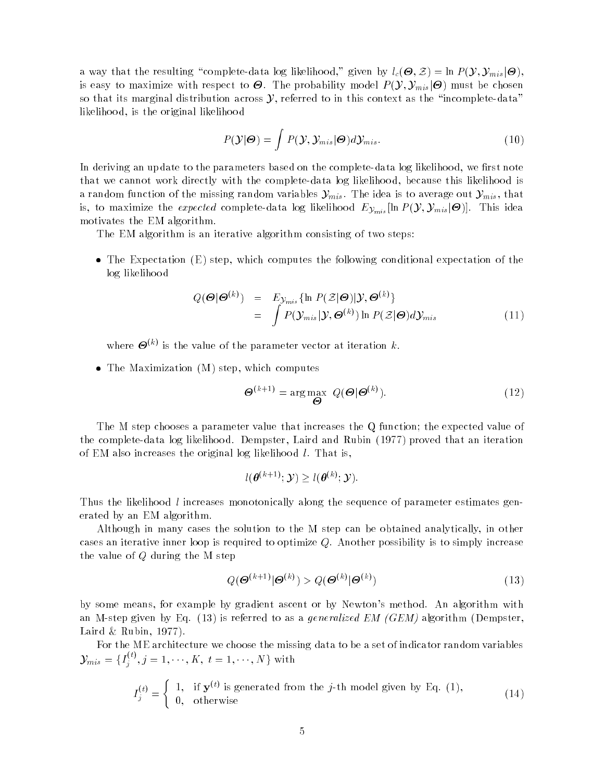a way that the resulting complete-data log likelihood, given by  $\iota_c(\mathbf{\bullet}, \mathbf{\mathcal{Z}}) = \inf P(\mathbf{\mathcal{Y}}, \mathbf{\mathcal{Y}}_{mis}|\mathbf{\mathbf{\Theta}}),$ is easy to maximize with respect to  $\mathcal{O}$ . The probability model  $F\left(\mathcal{Y},\mathcal{Y}_{mis}|\mathcal{O}\right)$  must be chosen so that its marginal distribution across  $\mathcal{Y}$ , referred to in this context as the "incomplete-data" likelihood, is the original likelihood

$$
P(\mathcal{Y}|\boldsymbol{\Theta}) = \int P(\mathcal{Y}, \mathcal{Y}_{mis}|\boldsymbol{\Theta}) d\mathcal{Y}_{mis}.
$$
\n(10)

In deriving an update to the parameters based on the complete-data log likelihood, we first note that we cannot work directly with the complete-data log likelihood, because this likelihood is a random function of the missing random variables  $\mathcal{Y}_{mis}$ . The idea is to average out  $\mathcal{Y}_{mis},$  that is, to maximize the *expected* complete-data log likelihood  $E y_{mis}$  [in  $F(\mathcal{Y}, \mathcal{Y}_{mis}|\mathcal{O})$ ]. This idea motivates the EM algorithm.

The EM algorithm is an iterative algorithm consisting of two steps:

 $\bullet$  The Expectation (E) step, which computes the following conditional expectation of the log likelihood

$$
Q(\boldsymbol{\Theta}|\boldsymbol{\Theta}^{(k)}) = E_{\mathcal{Y}_{mis}} \{\ln P(\mathcal{Z}|\boldsymbol{\Theta}) | \mathcal{Y}, \boldsymbol{\Theta}^{(k)}\}
$$
  
= 
$$
\int P(\mathcal{Y}_{mis}|\mathcal{Y}, \boldsymbol{\Theta}^{(k)}) \ln P(\mathcal{Z}|\boldsymbol{\Theta}) d\mathcal{Y}_{mis}
$$
 (11)

where  $\boldsymbol{\Theta}^{(k)}$  is the value of the parameter vector at iteration k.

The Maximization (M) step, which computes

$$
\mathbf{\Theta}^{(k+1)} = \arg \max_{\mathbf{\Theta}} \ Q(\mathbf{\Theta}|\mathbf{\Theta}^{(k)}).
$$
 (12)

The M step chooses a parameter value that increases the Q function; the expected value of the complete-data log likelihood. Dempster, Laird and Rubin (1977) proved that an iteration of EM also increases the original log likelihood l. That is,

$$
l(\boldsymbol{\theta}^{(k+1)};\mathcal{Y})\geq l(\boldsymbol{\theta}^{(k)};\mathcal{Y}).
$$

Thus the likelihood l increases monotonically along the sequence of parameter estimates generated by an EM algorithm.

Although in many cases the solution to the M step can be obtained analytically, in other cases an iterative inner loop is required to optimize  $Q$ . Another possibility is to simply increase the value of Q during the M step

$$
Q(\mathbf{\Theta}^{(k+1)}|\mathbf{\Theta}^{(k)}) > Q(\mathbf{\Theta}^{(k)}|\mathbf{\Theta}^{(k)})
$$
\n(13)

by some means, for example by gradient ascent or by Newton's method. An algorithm with an M-step given by Eq. (13) is referred to as a *generalized EM (GEM)* algorithm (Dempster, Laird & Rubin, 1977).

For the ME architecture we choose the missing data to be a set of indicator random variables  $\mathcal{Y}_{mis} = \{I_i^{(t)}, j\}$  $j, j = 1, \dots, n, t = 1, \dots, N$  with

$$
I_j^{(t)} = \begin{cases} 1, & \text{if } \mathbf{y}^{(t)} \text{ is generated from the } j\text{-th model given by Eq. (1),} \\ 0, & \text{otherwise} \end{cases} \tag{14}
$$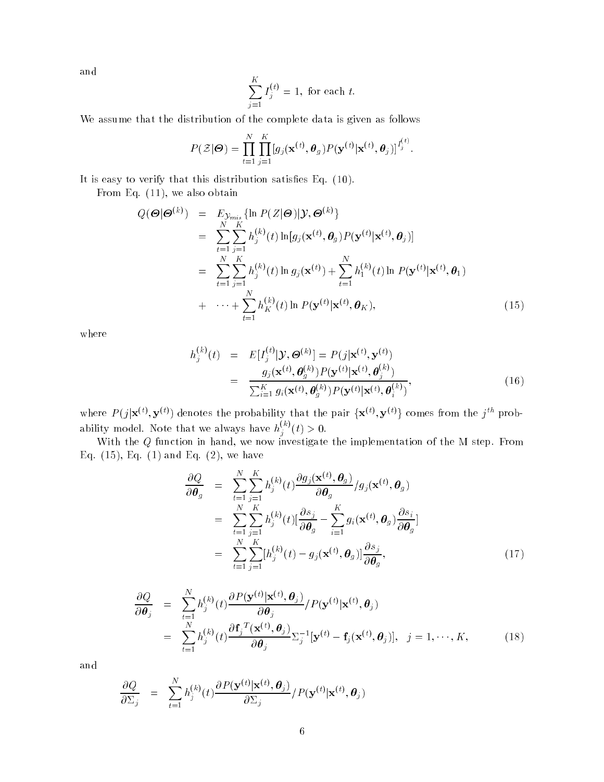and

$$
\sum_{j=1}^{K} I_j^{(t)} = 1
$$
, for each  $t$ .

We assume that the distribution of the complete data is given as follows

$$
P(\mathcal{Z}|\boldsymbol{\Theta}) = \prod_{t=1}^N \prod_{j=1}^K [g_j(\mathbf{x}^{(t)}, \boldsymbol{\theta}_g) P(\mathbf{y}^{(t)}|\mathbf{x}^{(t)}, \boldsymbol{\theta}_j)]^{I_j^{(t)}}.
$$

It is easy to verify that this distribution satisfies Eq.  $(10)$ .

From Eq. (11), we also obtain

$$
Q(\boldsymbol{\Theta}|\boldsymbol{\Theta}^{(k)}) = E_{\mathcal{Y}_{mis}} \{\ln P(Z|\boldsymbol{\Theta}) | \mathcal{Y}, \boldsymbol{\Theta}^{(k)}\}
$$
  
\n
$$
= \sum_{t=1}^{N} \sum_{j=1}^{K} h_j^{(k)}(t) \ln[g_j(\mathbf{x}^{(t)}, \boldsymbol{\theta}_g) P(\mathbf{y}^{(t)} | \mathbf{x}^{(t)}, \boldsymbol{\theta}_j)]
$$
  
\n
$$
= \sum_{t=1}^{N} \sum_{j=1}^{K} h_j^{(k)}(t) \ln g_j(\mathbf{x}^{(t)}) + \sum_{t=1}^{N} h_1^{(k)}(t) \ln P(\mathbf{y}^{(t)} | \mathbf{x}^{(t)}, \boldsymbol{\theta}_1)
$$
  
\n
$$
+ \cdots + \sum_{t=1}^{N} h_K^{(k)}(t) \ln P(\mathbf{y}^{(t)} | \mathbf{x}^{(t)}, \boldsymbol{\theta}_K), \qquad (15)
$$

where

$$
h_j^{(k)}(t) = E[I_j^{(t)}|\mathcal{Y}, \boldsymbol{\Theta}^{(k)}] = P(j|\mathbf{x}^{(t)}, \mathbf{y}^{(t)})
$$
  
\n
$$
= \frac{g_j(\mathbf{x}^{(t)}, \boldsymbol{\theta}_g^{(k)}) P(\mathbf{y}^{(t)}|\mathbf{x}^{(t)}, \boldsymbol{\theta}_g^{(k)})}{\sum_{i=1}^K g_i(\mathbf{x}^{(t)}, \boldsymbol{\theta}_g^{(k)}) P(\mathbf{y}^{(t)}|\mathbf{x}^{(t)}, \boldsymbol{\theta}_i^{(k)})},
$$
\n(16)

where  $P(j|\mathbf{x}^{(t)}, \mathbf{y}^{(t)})$  denotes the probability that the pair  $\{\mathbf{x}^{(t)}, \mathbf{y}^{(t)}\}$  comes from the  $j^{th}$  probability model. Note that we always have  $h_s^{(k)}(t)$  $j \left( t \right) \geq 0.$ 

With the Q function in hand, we now investigate the implementation of the M step. From Eq.  $(15)$ , Eq.  $(1)$  and Eq.  $(2)$ , we have

$$
\frac{\partial Q}{\partial \theta_g} = \sum_{t=1}^{N} \sum_{j=1}^{K} h_j^{(k)}(t) \frac{\partial g_j(\mathbf{x}^{(t)}, \theta_g)}{\partial \theta_g} / g_j(\mathbf{x}^{(t)}, \theta_g)
$$
  
\n
$$
= \sum_{t=1}^{N} \sum_{j=1}^{K} h_j^{(k)}(t) [\frac{\partial s_j}{\partial \theta_g} - \sum_{i=1}^{K} g_i(\mathbf{x}^{(t)}, \theta_g) \frac{\partial s_i}{\partial \theta_g}]
$$
  
\n
$$
= \sum_{t=1}^{N} \sum_{j=1}^{K} [h_j^{(k)}(t) - g_j(\mathbf{x}^{(t)}, \theta_g)] \frac{\partial s_j}{\partial \theta_g}, \qquad (17)
$$

$$
\frac{\partial Q}{\partial \boldsymbol{\theta}_j} = \sum_{t=1}^N h_j^{(k)}(t) \frac{\partial P(\mathbf{y}^{(t)} | \mathbf{x}^{(t)}, \boldsymbol{\theta}_j)}{\partial \boldsymbol{\theta}_j} / P(\mathbf{y}^{(t)} | \mathbf{x}^{(t)}, \boldsymbol{\theta}_j)
$$
\n
$$
= \sum_{t=1}^N h_j^{(k)}(t) \frac{\partial \mathbf{f}_j^T(\mathbf{x}^{(t)}, \boldsymbol{\theta}_j)}{\partial \boldsymbol{\theta}_j} \Sigma_j^{-1} [\mathbf{y}^{(t)} - \mathbf{f}_j(\mathbf{x}^{(t)}, \boldsymbol{\theta}_j)], \quad j = 1, \cdots, K,
$$
\n(18)

and

$$
\frac{\partial Q}{\partial \Sigma_j} = \sum_{t=1}^N h_j^{(k)}(t) \frac{\partial P(\mathbf{y}^{(t)}|\mathbf{x}^{(t)}, \boldsymbol{\theta}_j)}{\partial \Sigma_j} / P(\mathbf{y}^{(t)}|\mathbf{x}^{(t)}, \boldsymbol{\theta}_j)
$$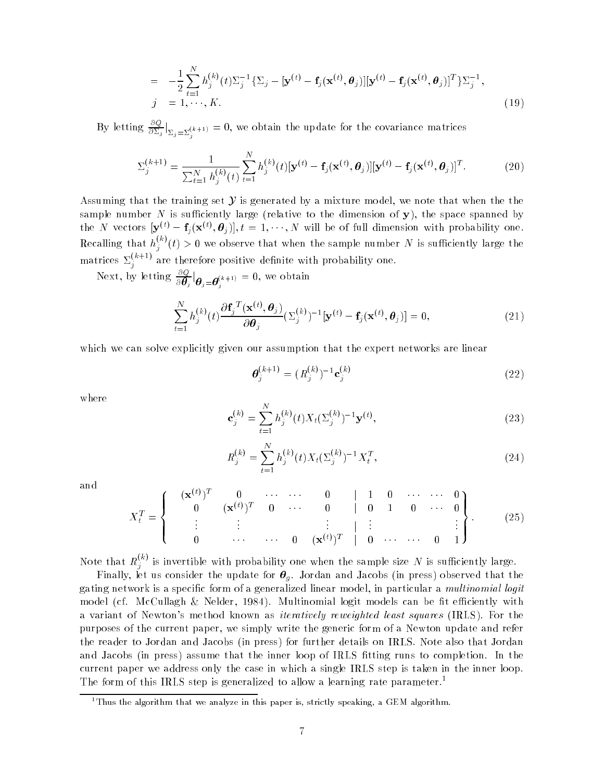$$
= -\frac{1}{2} \sum_{t=1}^{N} h_j^{(k)}(t) \Sigma_j^{-1} \{ \Sigma_j - [\mathbf{y}^{(t)} - \mathbf{f}_j(\mathbf{x}^{(t)}, \boldsymbol{\theta}_j)][\mathbf{y}^{(t)} - \mathbf{f}_j(\mathbf{x}^{(t)}, \boldsymbol{\theta}_j)]^T \} \Sigma_j^{-1},
$$
  
\n
$$
j = 1, \dots, K.
$$
 (19)

By letting  $\frac{\partial Q}{\partial \Sigma_j}\Big|_{\Sigma_j=\Sigma^{(k+1)}}=0$ , we obtain the update for the covariance matrices j

$$
\Sigma_j^{(k+1)} = \frac{1}{\sum_{t=1}^N h_j^{(k)}(t)} \sum_{t=1}^N h_j^{(k)}(t) [\mathbf{y}^{(t)} - \mathbf{f}_j(\mathbf{x}^{(t)}, \boldsymbol{\theta}_j)][\mathbf{y}^{(t)} - \mathbf{f}_j(\mathbf{x}^{(t)}, \boldsymbol{\theta}_j)]^T.
$$
(20)

Assuming that the training set  $\mathcal Y$  is generated by a mixture model, we note that when the the sample number N is sufficiently large (relative to the dimension of y), the space spanned by the N vectors  $[\mathbf{y}^{(t)} - \mathbf{f}_j(\mathbf{x}^{(t)},\boldsymbol{\theta}_j)], t = 1,\cdots,N$  will be of full dimension with probability one. Recalling that  $h_i^{(k)}(t)$  $j_{ij}$  (*t) >* 0 we observe that when the sample number *N* is sumclemity large the matrices  $\Sigma_j^{(k+1)}$  are therefore positive definite with probability one.

Next, by letting  $\frac{\partial Q}{\partial \theta_j} \big|_{\boldsymbol{\theta}_j = \boldsymbol{\theta}_j^{(k+1)}} = 0$ , we obtain

$$
\sum_{t=1}^{N} h_j^{(k)}(t) \frac{\partial \mathbf{f}_j^{(t)}(\mathbf{x}^{(t)}, \boldsymbol{\theta}_j)}{\partial \boldsymbol{\theta}_j} (\Sigma_j^{(k)})^{-1} [\mathbf{y}^{(t)} - \mathbf{f}_j(\mathbf{x}^{(t)}, \boldsymbol{\theta}_j)] = 0, \qquad (21)
$$

which we can solve explicitly given our assumption that the expert networks are linear

$$
\boldsymbol{\theta}_j^{(k+1)} = (R_j^{(k)})^{-1} \mathbf{c}_j^{(k)}
$$
\n(22)

where

$$
\mathbf{c}_{j}^{(k)} = \sum_{t=1}^{N} h_{j}^{(k)}(t) X_{t} (\Sigma_{j}^{(k)})^{-1} \mathbf{y}^{(t)},
$$
\n(23)

$$
R_j^{(k)} = \sum_{t=1}^{N} h_j^{(k)}(t) X_t (\Sigma_j^{(k)})^{-1} X_t^T,
$$
\n(24)

and

$$
X_t^T = \begin{Bmatrix} (\mathbf{x}^{(t)})^T & 0 & \cdots & \cdots & 0 & | & 1 & 0 & \cdots & \cdots & 0 \\ 0 & (\mathbf{x}^{(t)})^T & 0 & \cdots & 0 & | & 0 & 1 & 0 & \cdots & 0 \\ \vdots & \vdots & \vdots & & & & & \vdots & \vdots & & & \vdots \\ 0 & \cdots & \cdots & 0 & (\mathbf{x}^{(t)})^T & | & 0 & \cdots & \cdots & 0 & 1 \end{Bmatrix}.
$$
 (25)

Note that  $R_j^{(k)}$  is invertible with probability one when the sample size  $N$  is sufficiently large.

Finally, let us consider the update for  $\theta_g$ . Jordan and Jacobs (in press) observed that the gating network is a specific form of a generalized linear model, in particular a *multinomial logit* model (cf. McCullagh & Nelder, 1984). Multinomial logit models can be fit efficiently with a variant of Newton's method known as iteratively reweighted least squares (IRLS). For the purposes of the current paper, we simply write the generic form of a Newton update and refer the reader to Jordan and Jacobs (in press) for further details on IRLS. Note also that Jordan and Jacobs (in press) assume that the inner loop of IRLS fitting runs to completion. In the current paper we address only the case in which a single IRLS step is taken in the inner loop. The form of this IRLS step is generalized to allow a learning rate parameter.<sup>1</sup>

 $1$ <sup>1</sup>Thus the algorithm that we analyze in this paper is, strictly speaking, a GEM algorithm.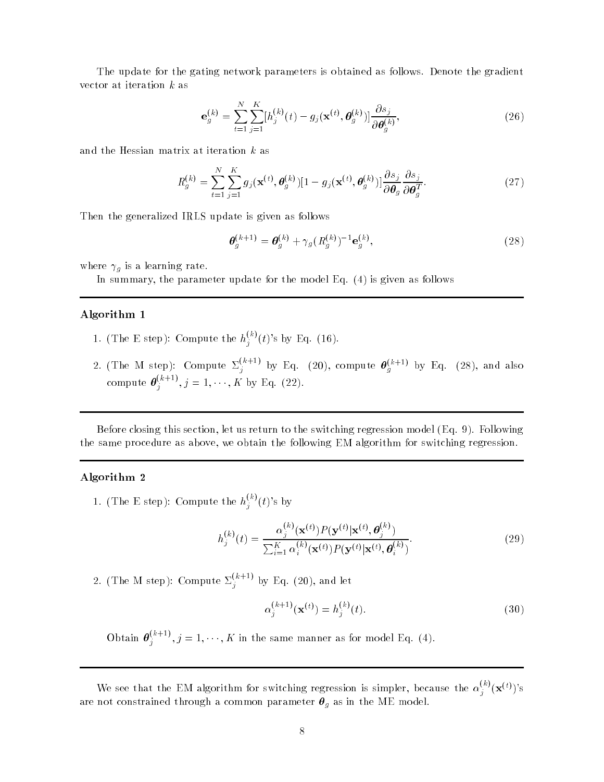The update for the gating network parameters is obtained as follows. Denote the gradient vector at iteration  $k$  as

$$
\mathbf{e}_{g}^{(k)} = \sum_{t=1}^{N} \sum_{j=1}^{K} [h_j^{(k)}(t) - g_j(\mathbf{x}^{(t)}, \boldsymbol{\theta}_{g}^{(k)})] \frac{\partial s_j}{\partial \boldsymbol{\theta}_{g}^{(k)}},
$$
(26)

and the Hessian matrix at iteration k as

$$
R_g^{(k)} = \sum_{t=1}^{N} \sum_{j=1}^{K} g_j(\mathbf{x}^{(t)}, \boldsymbol{\theta}_g^{(k)}) [1 - g_j(\mathbf{x}^{(t)}, \boldsymbol{\theta}_g^{(k)})] \frac{\partial s_j}{\partial \boldsymbol{\theta}_g} \frac{\partial s_j}{\partial \boldsymbol{\theta}_g^T}.
$$
(27)

Then the generalized IRLS update is given as follows

$$
\boldsymbol{\theta}_g^{(k+1)} = \boldsymbol{\theta}_g^{(k)} + \gamma_g (R_g^{(k)})^{-1} \mathbf{e}_g^{(k)},
$$
\n(28)

where  $\gamma_g$  is a learning rate.

In summary, the parameter update for the model Eq. (4) is given as follows

#### Algorithm 1

- 1. (The E step): Compute the  $h_j^{(k)}(t)$ 's by Eq. (16).
- 2. (The M step): Compute  $\Sigma_j^{(k+1)}$  by Eq. (20), compute  $\boldsymbol{\theta}_g^{(k+1)}$  by Eq. (28), and also compute  $\boldsymbol{\theta}^{(k+1)}$ , j  $j \; j = 1, \cdots, K$  by Eq. (22).

Before closing this section, let us return to the switching regression model (Eq. 9). Following the same procedure as above, we obtain the following EM algorithm for switching regression.

#### Algorithm 2

1. (The E step): Compute the  $h_j^{(k)}(t)$ 's by

$$
h_j^{(k)}(t) = \frac{\alpha_j^{(k)}(\mathbf{x}^{(t)}) P(\mathbf{y}^{(t)} | \mathbf{x}^{(t)}, \boldsymbol{\theta}_j^{(k)})}{\sum_{i=1}^K \alpha_i^{(k)}(\mathbf{x}^{(t)}) P(\mathbf{y}^{(t)} | \mathbf{x}^{(t)}, \boldsymbol{\theta}_i^{(k)})}.
$$
(29)

2. (The M step): Compute  $\Sigma_j^{(k+1)}$  by Eq. (20), and let

$$
\alpha_j^{(k+1)}(\mathbf{x}^{(t)}) = h_j^{(k)}(t). \tag{30}
$$

Obtain  $\boldsymbol{\theta}^{(k+1)}$ , j  $j_j$ ,  $j = 1, \dots, n$  in the same manner as for model Eq. (4).

We see that the EM algorithm for switching regression is simpler, because the  $\alpha_j^{(k)}(\mathbf{x}^{(t)})$ 's are not constrained through a common parameter  $\boldsymbol{\theta}_g$  as in the ME model.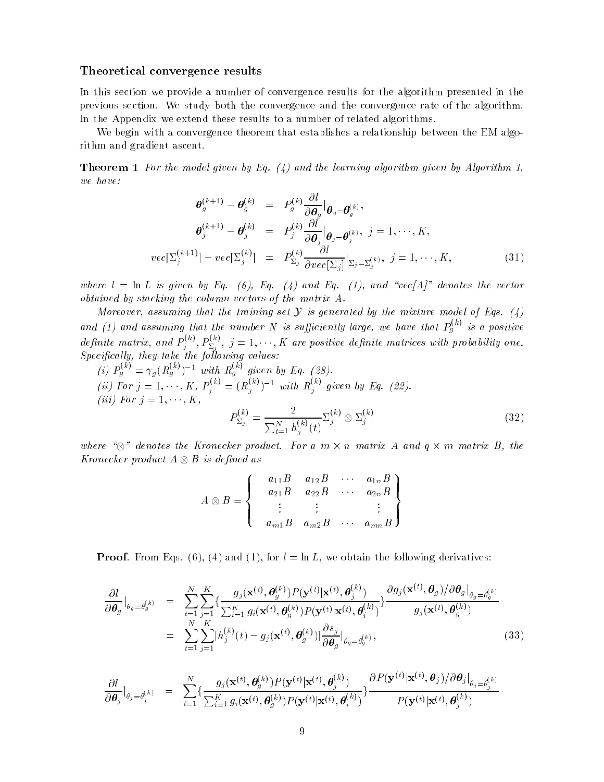#### Theoretical convergence results

In this section we provide a number of convergence results for the algorithm presented in the previous section. We study both the convergence and the convergence rate of the algorithm. In the Appendix we extend these results to a number of related algorithms.

We begin with a convergence theorem that establishes a relationship between the EM algorithm and gradient ascent.

**Theorem 1** For the model given by Eq.  $(4)$  and the learning algorithm given by Algorithm 1, we have:

$$
\theta_g^{(k+1)} - \theta_g^{(k)} = P_g^{(k)} \frac{\partial l}{\partial \theta_g} \Big|_{\theta_g = \theta_g^{(k)}},
$$
  
\n
$$
\theta_j^{(k+1)} - \theta_j^{(k)} = P_j^{(k)} \frac{\partial l}{\partial \theta_j} \Big|_{\theta_j = \theta_j^{(k)}}, j = 1, \dots, K,
$$
  
\n
$$
vec[\Sigma_j^{(k+1)}] - vec[\Sigma_j^{(k)}] = P_{\Sigma_j}^{(k)} \frac{\partial l}{\partial vec[\Sigma_j]} \Big|_{\Sigma_j = \Sigma_j^{(k)}}, j = 1, \dots, K,
$$
\n(31)

where  $l = \ln L$  is given by Eq. (6), Eq. (4) and Eq. (1), and "vec[A]" denotes the vector obtained by stacking the column vectors of the matrix A.

Moreover, assuming that the training set  $Y$  is generated by the mixture model of Eqs. (4) and (1) and assuming that the number N is sufficiently large, we have that  $P_a^{(k)}$  is g vs a positive definite matrix, and  $P_i^{(k)}$ , I  $p_j^{(k)}, p_{\Sigma_j}^{(k)}, \; j=1,\cdots,K$  are positive definite matrices with probability one.  $Specifically, they take the following values:$ 

(i) 
$$
P_g^{(k)} = \gamma_g (R_g^{(k)})^{-1}
$$
 with  $R_g^{(k)}$  given by Eq. (28).  
\n(ii) For  $j = 1, \dots, K$ ,  $P_j^{(k)} = (R_j^{(k)})^{-1}$  with  $R_j^{(k)}$  given by Eq. (22).  
\n(iii) For  $j = 1, \dots, K$ ,  
\n
$$
P_{\Sigma_j}^{(k)} = \frac{2}{\sum_{t=1}^N h_j^{(k)}(t)} \Sigma_j^{(k)} \otimes \Sigma_j^{(k)}
$$
\n(32)

where  $\sim$  denotes the Kronecker product. For a m -11 m matrix  $\sim$  - and  $\eta$  -11 m -11 m -12 m -Kronecker product <sup>A</sup> B is dened as

$$
A \otimes B = \begin{Bmatrix} a_{11}B & a_{12}B & \cdots & a_{1n}B \\ a_{21}B & a_{22}B & \cdots & a_{2n}B \\ \vdots & \vdots & & \vdots \\ a_{m1}B & a_{m2}B & \cdots & a_{mn}B \end{Bmatrix}
$$

**Proof.** From Eqs. (6), (4) and (1), for  $l = \ln L$ , we obtain the following derivatives:

$$
\frac{\partial l}{\partial \boldsymbol{\theta}_{g}}|_{\theta_{g}=\theta_{g}^{(k)}} = \sum_{t=1}^{N} \sum_{j=1}^{K} \{ \frac{g_{j}(\mathbf{x}^{(t)}, \boldsymbol{\theta}_{g}^{(k)}) P(\mathbf{y}^{(t)} | \mathbf{x}^{(t)}, \boldsymbol{\theta}_{j}^{(k)})}{\sum_{t=1}^{K} g_{i}(\mathbf{x}^{(t)}, \boldsymbol{\theta}_{g}^{(k)}) P(\mathbf{y}^{(t)} | \mathbf{x}^{(t)}, \boldsymbol{\theta}_{i}^{(k)})} \} \frac{\partial g_{j}(\mathbf{x}^{(t)}, \boldsymbol{\theta}_{g}) / \partial \boldsymbol{\theta}_{g}|_{\theta_{g}=\theta_{g}^{(k)}}}{g_{j}(\mathbf{x}^{(t)}, \boldsymbol{\theta}_{g}^{(k)})} \\
= \sum_{t=1}^{N} \sum_{j=1}^{K} [h_{j}^{(k)}(t) - g_{j}(\mathbf{x}^{(t)}, \boldsymbol{\theta}_{g}^{(k)})] \frac{\partial s_{j}}{\partial \boldsymbol{\theta}_{g}}|_{\theta_{g}=\theta_{g}^{(k)}},
$$
\n(33)

$$
\frac{\partial l}{\partial \boldsymbol{\theta}_j}\big|_{\theta_j=\theta_j^{(k)}} = \sum_{t=1}^N \{\frac{g_j(\mathbf{x}^{(t)},\boldsymbol{\theta}_j^{(k)})P(\mathbf{y}^{(t)}|\mathbf{x}^{(t)},\boldsymbol{\theta}_j^{(k)})}{\sum_{i=1}^K g_i(\mathbf{x}^{(t)},\boldsymbol{\theta}_g^{(k)})P(\mathbf{y}^{(t)}|\mathbf{x}^{(t)},\boldsymbol{\theta}_i^{(k)})}\}\frac{\partial P(\mathbf{y}^{(t)}|\mathbf{x}^{(t)},\boldsymbol{\theta}_j)/\partial \boldsymbol{\theta}_j|_{\theta_j=\theta_j^{(k)}}}{P(\mathbf{y}^{(t)}|\mathbf{x}^{(t)},\boldsymbol{\theta}_g^{(k)})}
$$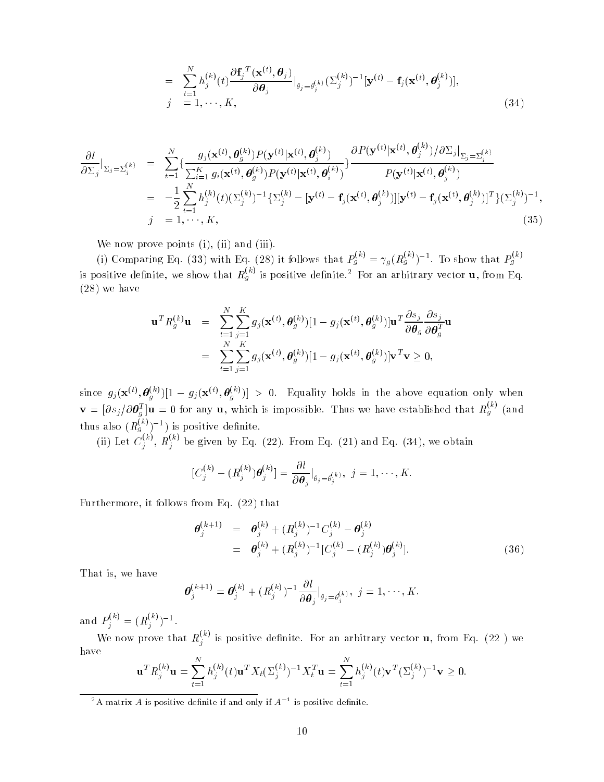$$
= \sum_{t=1}^{N} h_j^{(k)}(t) \frac{\partial \mathbf{f}_j^{T}(\mathbf{x}^{(t)}, \boldsymbol{\theta}_j)}{\partial \boldsymbol{\theta}_j} \big|_{\theta_j = \theta_j^{(k)}} (\Sigma_j^{(k)})^{-1} [\mathbf{y}^{(t)} - \mathbf{f}_j(\mathbf{x}^{(t)}, \boldsymbol{\theta}_j^{(k)})],
$$
\n
$$
j = 1, \dots, K,
$$
\n(34)

$$
\frac{\partial l}{\partial \Sigma_j}\Big|_{\Sigma_j = \Sigma_j^{(k)}} = \sum_{t=1}^N \{ \frac{g_j(\mathbf{x}^{(t)}, \theta_j^{(k)}) P(\mathbf{y}^{(t)} | \mathbf{x}^{(t)}, \theta_j^{(k)})}{\sum_{i=1}^K g_i(\mathbf{x}^{(t)}, \theta_j^{(k)}) P(\mathbf{y}^{(t)} | \mathbf{x}^{(t)}, \theta_i^{(k)})} \} \frac{\partial P(\mathbf{y}^{(t)} | \mathbf{x}^{(t)}, \theta_j^{(k)}) / \partial \Sigma_j|_{\Sigma_j = \Sigma_j^{(k)}}}{P(\mathbf{y}^{(t)} | \mathbf{x}^{(t)}, \theta_j^{(k)})}
$$
\n
$$
= -\frac{1}{2} \sum_{t=1}^N h_j^{(k)}(t) (\Sigma_j^{(k)})^{-1} {\{\Sigma_j^{(k)} - [\mathbf{y}^{(t)} - \mathbf{f}_j(\mathbf{x}^{(t)}, \theta_j^{(k)})][\mathbf{y}^{(t)} - \mathbf{f}_j(\mathbf{x}^{(t)}, \theta_j^{(k)})]^T \} (\Sigma_j^{(k)})^{-1}},
$$
\n
$$
j = 1, \dots, K,
$$
\n(35)

 $\mathcal{N}$  is a non-normal points (iii). (iii). (iii). (iii). (iii). (iii). (iii). (iii). (iii). (iii). (iii). (iii). (iii). (iii). (iii). (iii). (iii). (iii). (iii). (iii). (iii). (iii). (iii). (iii). (iii). (iii). (iii).

(i) Comparing Eq. (33) with Eq. (28) it follows that  $P_g^{(k)} = \gamma_g (R_g^{(k)})^{-1}$ . To show that  $P_g^{(k)}$ is positive definite, we show that  $R_g^{(k)}$  is positive definite.<sup>2</sup> For an arbitrary vector **u**, from Eq. (28) we have

$$
\mathbf{u}^T R_g^{(k)} \mathbf{u} = \sum_{t=1}^N \sum_{j=1}^K g_j(\mathbf{x}^{(t)}, \boldsymbol{\theta}_g^{(k)}) [1 - g_j(\mathbf{x}^{(t)}, \boldsymbol{\theta}_g^{(k)})] \mathbf{u}^T \frac{\partial s_j}{\partial \boldsymbol{\theta}_g} \frac{\partial s_j}{\partial \boldsymbol{\theta}_g^T} \mathbf{u}
$$
  
= 
$$
\sum_{t=1}^N \sum_{j=1}^K g_j(\mathbf{x}^{(t)}, \boldsymbol{\theta}_g^{(k)}) [1 - g_j(\mathbf{x}^{(t)}, \boldsymbol{\theta}_g^{(k)})] \mathbf{v}^T \mathbf{v} \ge 0,
$$

since  $g_j(\mathbf{x}^{(t)}, \boldsymbol{\theta}_g^{(k)})[1 - g_j(\mathbf{x}^{(t)}, \boldsymbol{\theta}_g^{(k)})] > 0$ . Equality holds in the above equation only when  $\mathbf{v} = [\partial s_j / \partial \boldsymbol{\theta}_g^T] \mathbf{u} = 0$  for any **u**, which is impossible. Thus we have established that  $R_g^{(k)}$  (and thus also  $(R_g^{(k)})^{-1}$ ) is positive definite.<br>
(ii) Let  $C_j^{(k)}$ ,  $R_j^{(k)}$  be given by Eq. (22). From Eq. (21) and Eq. (34), we obtain

$$
[C_j^{(k)} - (R_j^{(k)})\boldsymbol{\theta}_j^{(k)}] = \frac{\partial l}{\partial \boldsymbol{\theta}_j}\big|_{\theta_j = \theta_j^{(k)}}, \ j = 1, \cdots, K.
$$

Furthermore, it follows from Eq. (22) that

$$
\begin{array}{rcl}\n\boldsymbol{\theta}_{j}^{(k+1)} & = & \boldsymbol{\theta}_{j}^{(k)} + (R_{j}^{(k)})^{-1} C_{j}^{(k)} - \boldsymbol{\theta}_{j}^{(k)} \\
& = & \boldsymbol{\theta}_{j}^{(k)} + (R_{j}^{(k)})^{-1} [C_{j}^{(k)} - (R_{j}^{(k)}) \boldsymbol{\theta}_{j}^{(k)}].\n\end{array} \tag{36}
$$

That is, we have

$$
\boldsymbol{\theta}_j^{(k+1)} = \boldsymbol{\theta}_j^{(k)} + (R_j^{(k)})^{-1} \frac{\partial l}{\partial \boldsymbol{\theta}_j} \big|_{\theta_j = \theta_j^{(k)}}, \ j = 1, \cdots, K.
$$

and  $P_j^{(k)} = (R_j^{(k)})^{-1}$ .

We now prove that  $R_j^{(k)}$  is positive definite. For an arbitrary vector **u**, from Eq. (22 ) we have

$$
\mathbf{u}^T R_j^{(k)} \mathbf{u} = \sum_{t=1}^N h_j^{(k)}(t) \mathbf{u}^T X_t (\Sigma_j^{(k)})^{-1} X_t^T \mathbf{u} = \sum_{t=1}^N h_j^{(k)}(t) \mathbf{v}^T (\Sigma_j^{(k)})^{-1} \mathbf{v} \ge 0.
$$

<sup>2</sup>A matrix A is positive definite if and only if  $A^{-1}$  is positive definite.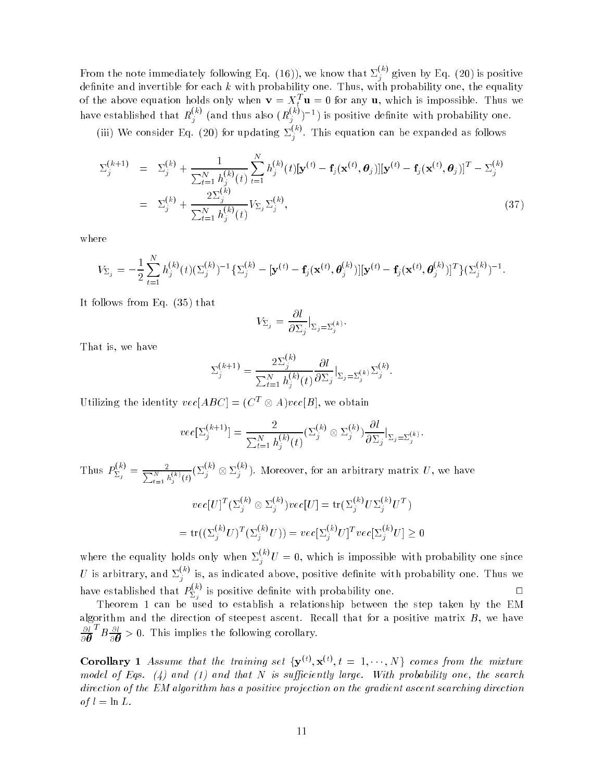From the note immediately following Eq. (16)), we know that  $\Sigma_j^{(k)}$  given by Eq. (20) is positive denote an and invertible for each k with probability one, the equality one, the equality one, the equality of  $\mathbb{R}$ of the above equation holds only when  $\mathbf{v} = X_t^T \mathbf{u} = 0$  for any  $\mathbf{u}$ , which is impossible. Thus we have established that  $R_j^{(k)}$  (and thus also  $(R_j^{(k)})^{-1}$ ) is positive definite with probability one.

(iii) We consider Eq. (20) for updating  $\Sigma_j^{(k)}$ . This equation can be expanded as follows

$$
\Sigma_j^{(k+1)} = \Sigma_j^{(k)} + \frac{1}{\sum_{t=1}^N h_j^{(k)}(t)} \sum_{t=1}^N h_j^{(k)}(t) [\mathbf{y}^{(t)} - \mathbf{f}_j(\mathbf{x}^{(t)}, \boldsymbol{\theta}_j)][\mathbf{y}^{(t)} - \mathbf{f}_j(\mathbf{x}^{(t)}, \boldsymbol{\theta}_j)]^T - \Sigma_j^{(k)}
$$
  
\n
$$
= \Sigma_j^{(k)} + \frac{2\Sigma_j^{(k)}}{\sum_{t=1}^N h_j^{(k)}(t)} V_{\Sigma_j} \Sigma_j^{(k)},
$$
\n(37)

where

$$
V_{\Sigma_j} = -\frac{1}{2} \sum_{t=1}^N h_j^{(k)}(t) (\Sigma_j^{(k)})^{-1} {\{\Sigma_j^{(k)} - [\mathbf{y}^{(t)} - \mathbf{f}_j(\mathbf{x}^{(t)}, \boldsymbol{\theta}_j^{(k)})][\mathbf{y}^{(t)} - \mathbf{f}_j(\mathbf{x}^{(t)}, \boldsymbol{\theta}_j^{(k)})]^T \}{ {\{\Sigma_j^{(k)}\}}^{-1}}.
$$

It follows from Eq. (35) that

$$
V_{\Sigma_j} = \frac{\partial l}{\partial \Sigma_j} \Big|_{\Sigma_j = \Sigma_j^{(k)}}.
$$

That is, we have

$$
\Sigma_j^{(k+1)} = \frac{2\Sigma_j^{(k)}}{\sum_{t=1}^N h_j^{(k)}(t)} \frac{\partial l}{\partial \Sigma_j} \Big|_{\Sigma_j = \Sigma_j^{(k)}} \Sigma_j^{(k)}.
$$

Utilizing the identity  $vec[ABC] = (C^T \otimes A)vec[B]$ , we obtain

$$
vec[\Sigma_j^{(k+1)}] = \frac{2}{\sum_{t=1}^N h_j^{(k)}(t)} (\Sigma_j^{(k)} \otimes \Sigma_j^{(k)}) \frac{\partial l}{\partial \Sigma_j} |_{\Sigma_j = \Sigma_j^{(k)}}.
$$

Thus  $P_{\Sigma}^{(k)}$  =  $\sum_{j=1}^{N(k)} \sum_{j=1}^{2} \frac{1}{h_j^{(k)}(t)} (\sum_{j=1}^{2} \otimes \sum_{j=1}^{2} h_j^{(k)})$ . Moreover, for an arbitrary matrix  $U$ , we have

$$
vec[U]^T (\Sigma_j^{(k)} \otimes \Sigma_j^{(k)}) vec[U] = \text{tr}(\Sigma_j^{(k)} U \Sigma_j^{(k)} U^T)
$$
  
= 
$$
\text{tr}((\Sigma_j^{(k)} U)^T (\Sigma_j^{(k)} U)) = vec[\Sigma_j^{(k)} U]^T vec[\Sigma_j^{(k)} U] \ge 0
$$

where the equality holds only when  $\Sigma_j^{(k)}U = 0$ , which is impossible with probability one since U is arbitrary, and  $\Sigma_j^{(k)}$  is, as indicated above, positive definite with probability one. Thus we have established that  $P_{\nabla}^{(k)}$  is  $\Box$  $\sum_{i=1}^{n}$  positive definite with probability one.

Theorem 1 can be used to establish a relationship between the step taken by the EM algorithm and the direction of steepest ascent. Recall that for a positive matrix  $B,$  we have  $\partial l^{-1}$  $\partial \bm{\theta}$  :  ${}^{T}B \frac{\partial l}{\partial \boldsymbol{\theta}} > 0$ . This implies the following corollary.

**Corollary** 1 Assume that the training set  $\{y^{(t)}, x^{(t)}, t = 1, \dots, N\}$  comes from the mixture model of Eqs. (4) and (1) and that N is sufficiently large. With probability one, the search direction of the EM algorithm has a positive projection on the gradient ascent searching direction of  $l = \ln L$ .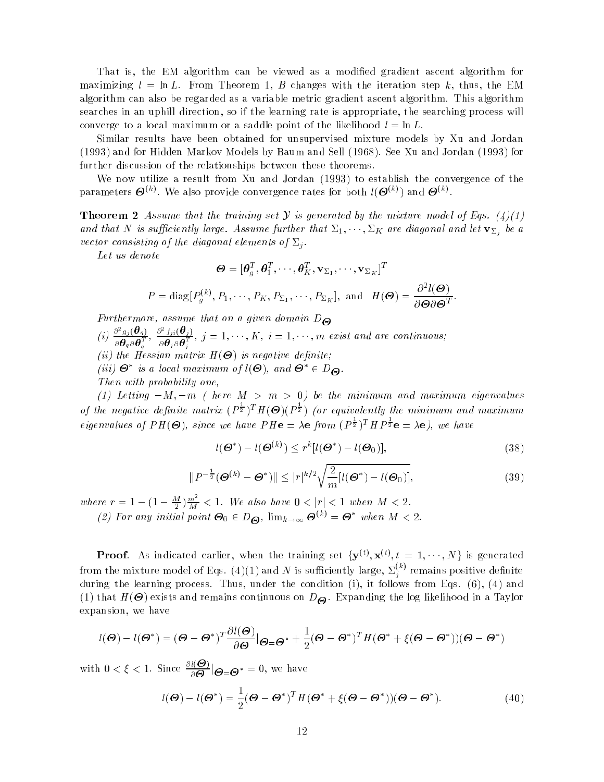That is, the EM algorithm can be viewed as a modified gradient ascent algorithm for maximizing  $l = \ln L$ . From Theorem 1, B changes with the iteration step k, thus, the EM algorithm can also be regarded as a variable metric gradient ascent algorithm. This algorithm searches in an uphill direction, so if the learning rate is appropriate, the searching process will converge to a local maximum or a saddle point of the likelihood  $l = \ln L$ .

Similar results have been obtained for unsupervised mixture models by Xu and Jordan (1993) and for Hidden Markov Models by Baum and Sell (1968). See Xu and Jordan (1993) for further discussion of the relationships between these theorems.

We now utilize a result from Xu and Jordan (1993) to establish the convergence of the parameters  $\boldsymbol{\Theta}^{(k)}$ . We also provide convergence rates for both  $l(\boldsymbol{\Theta}^{(k)})$  and  $\boldsymbol{\Theta}^{(k)}$ .

**Theorem 2** Assume that the training set Y is generated by the mixture model of Eqs. (4)(1) and that N is sufficiently large. Assume further that  $\overline{\omega}_1,\cdots,\overline{\omega}_K$  are alagonal and let  $\mathbf{v}_{\Sigma_j}$  be a vector consisting of the diagonal elements of  $\Sigma_i$ .

Let us denote

$$
\mathbf{\Theta} = [\mathbf{\theta}_g^T, \mathbf{\theta}_1^T, \cdots, \mathbf{\theta}_K^T, \mathbf{v}_{\Sigma_1}, \cdots, \mathbf{v}_{\Sigma_K}]^T
$$
  

$$
P = \text{diag}[P_g^{(k)}, P_1, \cdots, P_K, P_{\Sigma_1}, \cdots, P_{\Sigma_K}], \text{ and } H(\mathbf{\Theta}) = \frac{\partial^2 l(\mathbf{\Theta})}{\partial \mathbf{\Theta} \partial \mathbf{\Theta}^T}.
$$

Furthermore, assume that on a given domain  $D_{\Theta}$ 

- (i)  $\frac{\partial^2 g_j(\theta_q)}{\partial \theta_q \partial \theta_q^T}$ ,  $\frac{\partial^2 f_{ji}(\theta_j)}{\partial \theta_j \partial \theta_j^T}$ ,  $j = 1, \dots, K$ ,  $i = 1, \dots, m$  exist as  $\frac{\partial^2 f_{ji}(\boldsymbol{\theta}_j)}{\partial \boldsymbol{\theta}_j \partial \boldsymbol{\theta}_i^T}, \ j=1,\cdots,K, \ i=1,\cdots,m \ \ exist \ and \ \ are \ continuous;$
- $\cdots$  is the Hessian matrix  $\cdots$  is the function of  $\cdots$  is negative density.
- $(iii)$   $\bullet$  is a local maximum of  $i(\bullet)$ , and  $\bullet \in D_{\Theta}$ .

Then with probability one,

(1) Letting  $-M$ ,  $-m$  ( here  $M > m > 0$ ) be the minimum and maximum eigenvalues of the negative definite matrix  $(P^{\frac{1}{2}})^T H(\Theta)(P^{\frac{1}{2}})$  (or equivalently the minimum and maximum eigenvalues of  $PH(\mathbf{\Theta})$ , since we have  $PH\mathbf{e} = \lambda \mathbf{e}$  from  $(P^{\frac{1}{2}})^T H P^{\frac{1}{2}} \mathbf{e} = \lambda \mathbf{e}$ , we have

$$
l(\boldsymbol{\Theta}^*) - l(\boldsymbol{\Theta}^{(k)}) \le r^k [l(\boldsymbol{\Theta}^*) - l(\boldsymbol{\Theta}_0)],\tag{38}
$$

$$
||P^{-\frac{1}{2}}(\boldsymbol{\Theta}^{(k)} - \boldsymbol{\Theta}^*)|| \leq |r|^{k/2} \sqrt{\frac{2}{m} [l(\boldsymbol{\Theta}^*) - l(\boldsymbol{\Theta}_0)],
$$
\n(39)

where  $r = 1 - (1 - \frac{M}{2})\frac{m^2}{M} < 1$ . We also have  $0 < |r| < 1$  when  $M < 2$ .

(2) For any initial point  $\Theta_0 \in D_{\Theta}$ ,  $\lim_{k\to\infty} \Theta^{(k)} = \Theta^*$  when  $M < 2$ .

**Proof.** As indicated earlier, when the training set  $\{y^{(t)}, x^{(t)}, t = 1, \dots, N\}$  is generated from the mixture model of Eqs.  $(4)(1)$  and  $N$  is sufficiently large,  $\Sigma_j^{(k)}$  remains positive definite during the learning process. Thus, under the condition (i), it follows from Eqs. (6), (4) and  $(1)$  that H(- ) that is no distributed the log likelihood in a  $\Theta$  . Expanding the log likelihood in a Taylor expansion, we have

$$
l(\boldsymbol{\Theta}) - l(\boldsymbol{\Theta}^*) = (\boldsymbol{\Theta} - \boldsymbol{\Theta}^*)^T \frac{\partial l(\boldsymbol{\Theta})}{\partial \boldsymbol{\Theta}} \vert \boldsymbol{\Theta} = \boldsymbol{\Theta}^* + \frac{1}{2} (\boldsymbol{\Theta} - \boldsymbol{\Theta}^*)^T H (\boldsymbol{\Theta}^* + \xi (\boldsymbol{\Theta} - \boldsymbol{\Theta}^*)) (\boldsymbol{\Theta} - \boldsymbol{\Theta}^*)
$$

with  $0 < \xi < 1$ . Since  $\frac{\partial l(\Theta)}{\partial \Theta}|_{\Theta = \Theta^*} = 0$ , we have

$$
l(\boldsymbol{\Theta}) - l(\boldsymbol{\Theta}^*) = \frac{1}{2}(\boldsymbol{\Theta} - \boldsymbol{\Theta}^*)^T H (\boldsymbol{\Theta}^* + \xi(\boldsymbol{\Theta} - \boldsymbol{\Theta}^*)) (\boldsymbol{\Theta} - \boldsymbol{\Theta}^*).
$$
(40)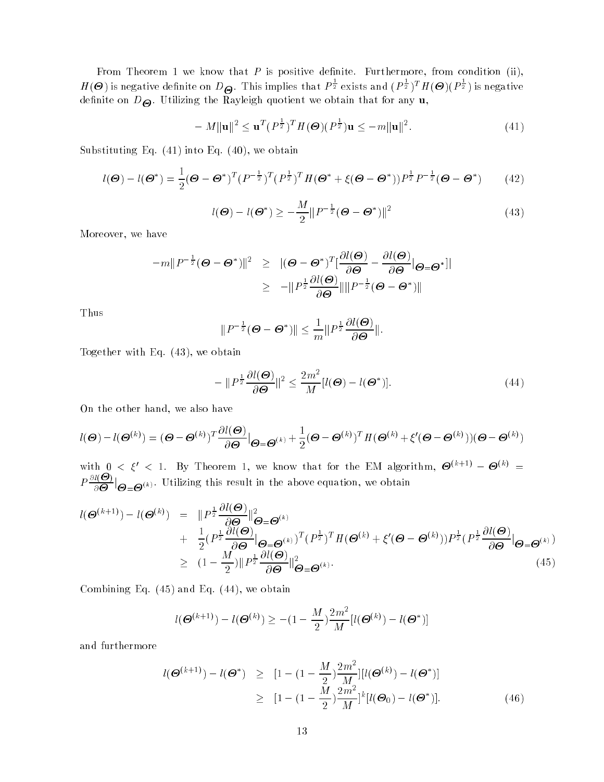From Theorem 1 we know that  $P$  is positive definite. Furthermore, from condition (ii),  $H(\bm{\Theta})$  is negative definite on  $D_{\bm{\Theta}}.$  This implies that  $P^{\frac{1}{2}}$  exists and  $(P^{\frac{1}{2}})^TH(\bm{\Theta})(P^{\frac{1}{2}})$  is negative denite on D-. Utilizing the Rayleigh quotient we obtain that for any u,

$$
-M\|\mathbf{u}\|^2 \leq \mathbf{u}^T (P^{\frac{1}{2}})^T H(\boldsymbol{\Theta}) (P^{\frac{1}{2}}) \mathbf{u} \leq -m\|\mathbf{u}\|^2. \tag{41}
$$

Substituting Eq.  $(41)$  into Eq.  $(40)$ , we obtain

$$
l(\boldsymbol{\Theta}) - l(\boldsymbol{\Theta}^*) = \frac{1}{2}(\boldsymbol{\Theta} - \boldsymbol{\Theta}^*)^T (P^{-\frac{1}{2}})^T (P^{\frac{1}{2}})^T H(\boldsymbol{\Theta}^* + \xi(\boldsymbol{\Theta} - \boldsymbol{\Theta}^*)) P^{\frac{1}{2}} P^{-\frac{1}{2}}(\boldsymbol{\Theta} - \boldsymbol{\Theta}^*)
$$
(42)

$$
l(\boldsymbol{\Theta}) - l(\boldsymbol{\Theta}^*) \ge -\frac{M}{2} ||P^{-\frac{1}{2}}(\boldsymbol{\Theta} - \boldsymbol{\Theta}^*)||^2
$$
\n(43)

Moreover, we have

$$
-m||P^{-\frac{1}{2}}(\Theta - \Theta^*)||^2 \geq ||(\Theta - \Theta^*)^T[\frac{\partial l(\Theta)}{\partial \Theta} - \frac{\partial l(\Theta)}{\partial \Theta}|\Theta = \Theta^*||
$$
  

$$
\geq -||P^{\frac{1}{2}}\frac{\partial l(\Theta)}{\partial \Theta}||||P^{-\frac{1}{2}}(\Theta - \Theta^*)||
$$

Thus

$$
||P^{-\frac{1}{2}}(\Theta - \Theta^*)|| \leq \frac{1}{m}||P^{\frac{1}{2}}\frac{\partial l(\Theta)}{\partial \Theta}||.
$$

Together with Eq. (43), we obtain

$$
-\|P^{\frac{1}{2}}\frac{\partial l(\boldsymbol{\Theta})}{\partial \boldsymbol{\Theta}}\|^2 \le \frac{2m^2}{M}[l(\boldsymbol{\Theta}) - l(\boldsymbol{\Theta}^*)].\tag{44}
$$

On the other hand, we also have

$$
l(\boldsymbol{\Theta}) - l(\boldsymbol{\Theta}^{(k)}) = (\boldsymbol{\Theta} - \boldsymbol{\Theta}^{(k)})^T \frac{\partial l(\boldsymbol{\Theta})}{\partial \boldsymbol{\Theta}} \big|_{\boldsymbol{\Theta} = \boldsymbol{\Theta}^{(k)}} + \frac{1}{2} (\boldsymbol{\Theta} - \boldsymbol{\Theta}^{(k)})^T H (\boldsymbol{\Theta}^{(k)} + \xi' (\boldsymbol{\Theta} - \boldsymbol{\Theta}^{(k)})) (\boldsymbol{\Theta} - \boldsymbol{\Theta}^{(k)})
$$

with  $0 < \xi' < 1$ . By Theorem 1, we know that for the EM algorithm,  $\boldsymbol{\Theta}^{(k+1)} - \boldsymbol{\Theta}^{(k)} =$  $P\frac{\partial l(\Theta)}{\partial\Theta}|_{\Theta=\Theta^{(k)}}$ . Utilizing this result in the above equation, we obtain

$$
l(\boldsymbol{\Theta}^{(k+1)}) - l(\boldsymbol{\Theta}^{(k)}) = \| P^{\frac{1}{2}} \frac{\partial l(\boldsymbol{\Theta})}{\partial \boldsymbol{\Theta}} \|_{\boldsymbol{\Theta} = \boldsymbol{\Theta}^{(k)}}^2 + \frac{1}{2} (P^{\frac{1}{2}} \frac{\partial l(\boldsymbol{\Theta})}{\partial \boldsymbol{\Theta}} \|_{\boldsymbol{\Theta} = \boldsymbol{\Theta}^{(k)}}^2)^T (P^{\frac{1}{2}})^T H(\boldsymbol{\Theta}^{(k)} + \xi'(\boldsymbol{\Theta} - \boldsymbol{\Theta}^{(k)})) P^{\frac{1}{2}} (P^{\frac{1}{2}} \frac{\partial l(\boldsymbol{\Theta})}{\partial \boldsymbol{\Theta}} \|_{\boldsymbol{\Theta} = \boldsymbol{\Theta}^{(k)}}^2) \geq (1 - \frac{M}{2}) \| P^{\frac{1}{2}} \frac{\partial l(\boldsymbol{\Theta})}{\partial \boldsymbol{\Theta}} \|_{\boldsymbol{\Theta} = \boldsymbol{\Theta}^{(k)}}^2.
$$
\n(45)

Combining Eq. (45) and Eq. (44), we obtain

$$
l(\boldsymbol{\Theta}^{(k+1)}) - l(\boldsymbol{\Theta}^{(k)}) \ge -(1 - \frac{M}{2})\frac{2m^2}{M}[l(\boldsymbol{\Theta}^{(k)}) - l(\boldsymbol{\Theta}^*)]
$$

and furthermore

$$
l(\boldsymbol{\Theta}^{(k+1)}) - l(\boldsymbol{\Theta}^*) \geq [1 - (1 - \frac{M}{2})\frac{2m^2}{M}][l(\boldsymbol{\Theta}^{(k)}) - l(\boldsymbol{\Theta}^*)]
$$
  
\n
$$
\geq [1 - (1 - \frac{M}{2})\frac{2m^2}{M}]^k[l(\boldsymbol{\Theta}_0) - l(\boldsymbol{\Theta}^*)].
$$
 (46)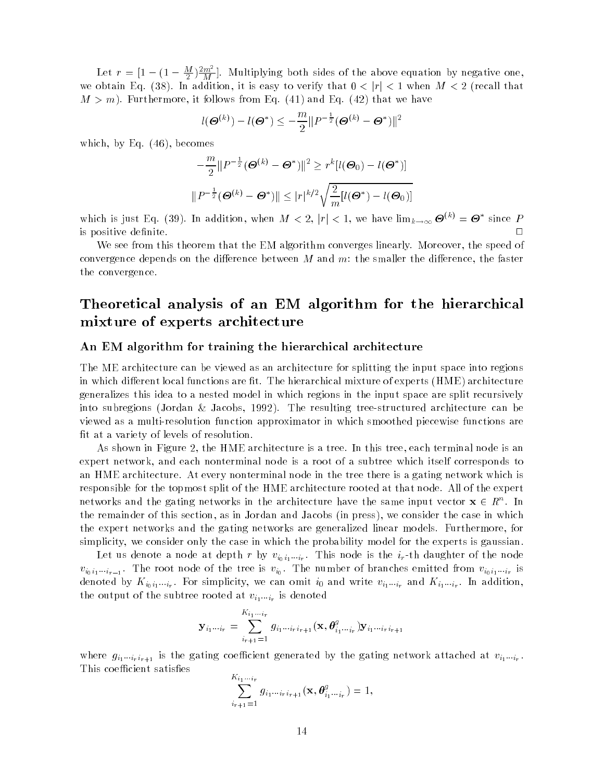Let  $r = [1 - (1 - \frac{M}{2})\frac{2m^2}{M}]$ . Multiplying both sides of the above equation by negative one, we obtain Eq. (38). In addition, it is easy to verify that  $0 < |r| < 1$  when  $M < 2$  (recall that  $M>m$ ). Furthermore, it follows from Eq. (41) and Eq. (42) that we have

$$
l(\boldsymbol{\Theta}^{(k)}) - l(\boldsymbol{\Theta}^*) \leq -\frac{m}{2} ||P^{-\frac{1}{2}}(\boldsymbol{\Theta}^{(k)} - \boldsymbol{\Theta}^*)||^2
$$

which, by Eq. (46), becomes

$$
-\frac{m}{2}||P^{-\frac{1}{2}}(\boldsymbol{\Theta}^{(k)} - \boldsymbol{\Theta}^*)||^2 \ge r^k[l(\boldsymbol{\Theta}_0) - l(\boldsymbol{\Theta}^*)]
$$

$$
||P^{-\frac{1}{2}}(\boldsymbol{\Theta}^{(k)} - \boldsymbol{\Theta}^*)|| \le |r|^{k/2} \sqrt{\frac{2}{m}[l(\boldsymbol{\Theta}^*) - l(\boldsymbol{\Theta}_0)]}
$$

which is just Eq. (39). In addition, when  $M < 2$ ,  $|r| < 1$ , we have  $\lim_{k\to\infty} \mathbf{\Theta}^{(k)} = \mathbf{\Theta}^*$  since P is positive denite. <sup>2</sup>

We see from this theorem that the EM algorithm converges linearly. Moreover, the speed of convergence depends on the difference between  $M$  and  $m\colon$  the smaller the difference, the faster the convergence.

# Theoretical analysis of an EM algorithm for the hierarchical mixture of experts architecture

#### An EM algorithm for training the hierarchical architecture

The ME architecture can be viewed as an architecture for splitting the input space into regions in which different local functions are fit. The hierarchical mixture of experts  $(HME)$  architecture generalizes this idea to a nested model in which regions in the input space are split recursively into subregions (Jordan & Jacobs, 1992). The resulting tree-structured architecture can be viewed as a multi-resolution function approximator in which smoothed piecewise functions are fit at a variety of levels of resolution.

As shown in Figure 2, the HME architecture is a tree. In this tree, each terminal node is an expert network, and each nonterminal node is a root of a subtree which itself corresponds to an HME architecture. At every nonterminal node in the tree there is a gating network which is responsible for the topmost split of the HME architecture rooted at that node. All of the expert networks and the gating networks in the architecture have the same input vector  $\mathbf{x} \in \mathbb{R}^n$ . In the remainder of this section, as in Jordan and Jacobs (in press), we consider the case in which the expert networks and the gating networks are generalized linear models. Furthermore, for simplicity, we consider only the case in which the probability model for the experts is gaussian.

Let us denote a node at depth r by  $v_{i_0i_1\cdots i_r}$ . This node is the  $i_r$ -th daughter of the node  $v_{i_0i_1\ldots i_{r-1}}$ . The root node of the tree is  $v_{i_0}$ . The number of branches emitted from  $v_{i_0i_1\ldots i_r}$  is denoted by  $\mathbf{A}_{io,i_1\ldots i_r}$ . For simplicity, we can omit  $i_0$  and write  $v_{i_1\ldots i_r}$  and  $\mathbf{A}_{i_1\ldots i_r}$ . In addition, the output of the subtree rooted at  $v_{i_1\cdots i_r}$  is denoted

$$
\mathbf{y}_{i_1\cdots i_r} = \sum_{i_{r+1}=1}^{K_{i_1\cdots i_r}} g_{i_1\cdots i_r i_{r+1}}(\mathbf{x}, \boldsymbol{\theta}^g_{i_1\cdots i_r}) \mathbf{y}_{i_1\cdots i_r i_{r+1}}
$$

where  $g_{i_1\cdots i_r i_{r+1}}$  is the gating coefficient generated by the gating network attached at  $v_{i_1\cdots i_r}$ . This coefficient satisfies

$$
\sum_{i_{r+1}=1}^{K_{i_1\cdots i_r}} g_{i_1\cdots i_r i_{r+1}}(\mathbf{x}, \theta_{i_1\cdots i_r}^g) = 1,
$$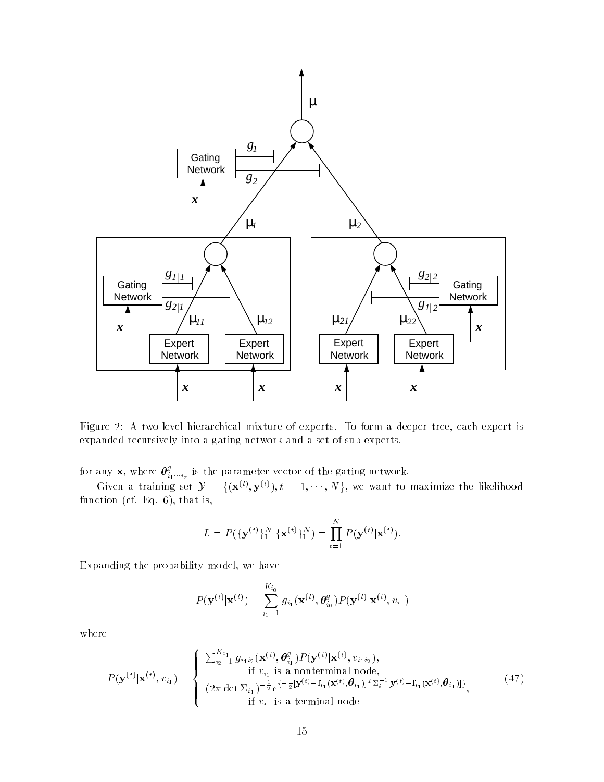

Figure 2: A two-level hierarchical mixture of experts. To form a deeper tree, each expert is expanded recursively into a gating network and a set of sub-experts.

for any **x**, where  $\theta_{i_1 \cdots i_r}^g$  is the parameter vector of the gating network.<br>Given a training set  $\mathcal{Y} = \{(\mathbf{x}^{(t)}, \mathbf{y}^{(t)}), t = 1, \cdots, N\}$ , we want to maximize the likelihood function (cf. Eq. 6), that is,

$$
L = P(\{\mathbf{y}^{(t)}\}_1^N | {\{\mathbf{x}^{(t)}\}_1^N}) = \prod_{t=1}^N P(\mathbf{y}^{(t)} | \mathbf{x}^{(t)}).
$$

Expanding the probability model, we have

$$
P(\mathbf{y}^{(t)}|\mathbf{x}^{(t)}) = \sum_{i_1=1}^{K_{i_0}} g_{i_1}(\mathbf{x}^{(t)}, \theta_{i_0}^g) P(\mathbf{y}^{(t)}|\mathbf{x}^{(t)}, v_{i_1})
$$

where

$$
P(\mathbf{y}^{(t)}|\mathbf{x}^{(t)}, v_{i_1}) = \begin{cases} \sum_{i_2=1}^{K_{i_1}} g_{i_1 i_2}(\mathbf{x}^{(t)}, \theta_{i_1}^g) P(\mathbf{y}^{(t)}|\mathbf{x}^{(t)}, v_{i_1 i_2}), \\ \text{if } v_{i_1} \text{ is a nonterminal node}, \\ (2\pi \det \sum_{i_1})^{-\frac{1}{2}} e^{\{-\frac{1}{2}[\mathbf{y}^{(t)} - \mathbf{f}_{i_1}(\mathbf{x}^{(t)}, \theta_{i_1})]^T \sum_{i_1}^{-1}[\mathbf{y}^{(t)} - \mathbf{f}_{i_1}(\mathbf{x}^{(t)}, \theta_{i_1})] \}, \\ \text{if } v_{i_1} \text{ is a terminal node} \end{cases} \tag{47}
$$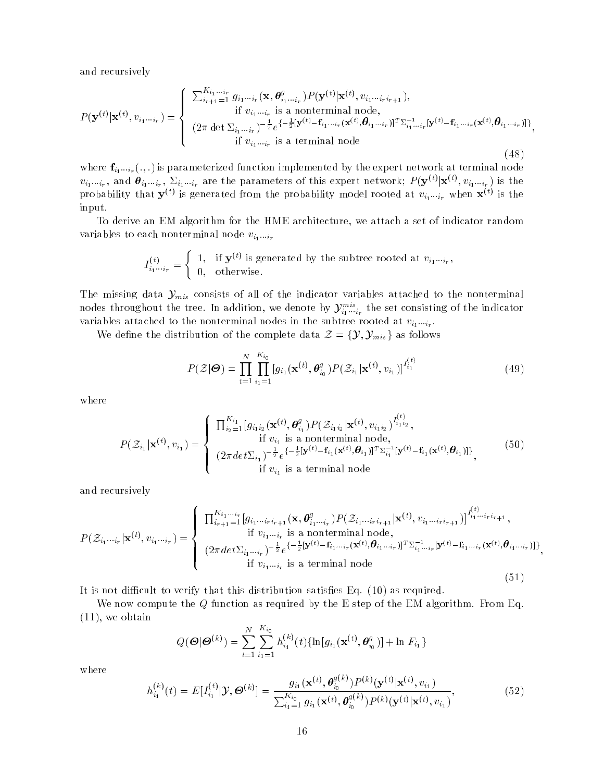and recursively

$$
P(\mathbf{y}^{(t)}|\mathbf{x}^{(t)}, v_{i_1\cdots i_r}) = \begin{cases} \sum_{i_{r+1}=1}^{K_{i_1\cdots i_r}} g_{i_1\cdots i_r}(\mathbf{x}, \boldsymbol{\theta}_{i_1\cdots i_r}^g) P(\mathbf{y}^{(t)}|\mathbf{x}^{(t)}, v_{i_1\cdots i_r i_{r+1}}), & \text{if } v_{i_1\cdots i_r} \text{ is a nonterminal node}, \\ \sum_{i_1\cdots i_r=1}^{K_{i_1\cdots i_r}(\mathbf{x}, \boldsymbol{\theta}_{i_1\cdots i_r}^g) - \frac{1}{2}e^{\{-\frac{1}{2}[\mathbf{y}^{(t)} - \mathbf{f}_{i_1\cdots i_r}(\mathbf{x}^{(t)}, \boldsymbol{\theta}_{i_1\cdots i_r})]^T \Sigma_{i_1\cdots i_r}^{-1} [\mathbf{y}^{(t)} - \mathbf{f}_{i_1\cdots i_r}(\mathbf{x}^{(t)}, \boldsymbol{\theta}_{i_1\cdots i_r})]^T, \\ \text{if } v_{i_1\cdots i_r} \text{ is a terminal node} \end{cases} \tag{48}
$$

where  $\mathbf{f}_{i_1\cdots i_r}(.,.)$  is parameterized function implemented by the expert network at terminal node  $v_{i_1\ldots i_r}$ , and  $\bm{\theta}_{i_1\ldots i_r}$ ,  $\Sigma_{i_1\ldots i_r}$  are the parameters of this expert network;  $P(\mathbf{y}^{(t)}|\mathbf{x}^{(t)},v_{i_1\ldots i_r})$  is the probability that  $\mathbf{y}^{(t)}$  is generated from the probability model rooted at  $v_{i_1\cdots i_r}$  when  $\mathbf{x}^{(t)}$  is the input.

To derive an EM algorithm for the HME architecture, we attach a set of indicator random variables to each nonterminal node  $v_{i_1\cdots i_r}$ 

$$
I_{i_1\cdots i_r}^{(t)} = \begin{cases} 1, & \text{if } \mathbf{y}^{(t)} \text{ is generated by the subtree rooted at } v_{i_1\cdots i_r}, \\ 0, & \text{otherwise.} \end{cases}
$$

The missing data  $\mathcal{Y}_{mis}$  consists of all of the indicator variables attached to the nonterminal nodes throughout the tree. In addition, we denote by  $\mathcal{Y}^{mis}_{i_1\cdots i_r}$  the set consisting of the indicator variables attached to the nonterminal houes in the subtree rooted at  $v_{i_1\cdots i_r}$ .

We define the distribution of the complete data  $\mathcal{Z} = \{\mathcal{Y}, \mathcal{Y}_{mis}\}\$ as follows

$$
P(\mathcal{Z}|\boldsymbol{\Theta}) = \prod_{t=1}^{N} \prod_{i_1=1}^{K_{i_0}} [g_{i_1}(\mathbf{x}^{(t)}, \boldsymbol{\theta}_{i_0}^g) P(\mathcal{Z}_{i_1}|\mathbf{x}^{(t)}, v_{i_1})]^{I_{i_1}^{(t)}}
$$
(49)

where

$$
P(\mathcal{Z}_{i_1}|\mathbf{x}^{(t)}, v_{i_1}) = \begin{cases} \prod_{i_2=1}^{K_{i_1}} [g_{i_1i_2}(\mathbf{x}^{(t)}, \theta_{i_1}^g) P(\mathcal{Z}_{i_1i_2}|\mathbf{x}^{(t)}, v_{i_1i_2})^{I_{i_1i_2}^{(t)}}, & \text{if } v_{i_1} \text{ is a nonterminal node}, \\ (2\pi det \Sigma_{i_1})^{-\frac{1}{2}} e^{\{-\frac{1}{2}[\mathbf{y}^{(t)} - \mathbf{f}_{i_1}(\mathbf{x}^{(t)}, \theta_{i_1})]^T \Sigma_{i_1}^{-1}[\mathbf{y}^{(t)} - \mathbf{f}_{i_1}(\mathbf{x}^{(t)}, \theta_{i_1})]\}, & \text{(50)} \\ \text{if } v_{i_1} \text{ is a terminal node} \end{cases}
$$

and recursively

$$
P(\mathcal{Z}_{i_1\cdots i_r}|\mathbf{x}^{(t)}, v_{i_1\cdots i_r}) = \begin{cases} \prod_{i_{r+1}=1}^{K_{i_1\cdots i_r}} [g_{i_1\cdots i_r i_{r+1}}(\mathbf{x}, \boldsymbol{\theta}_{i_1\cdots i_r}^g) P(\mathcal{Z}_{i_1\cdots i_r i_{r+1}}|\mathbf{x}^{(t)}, v_{i_1\cdots i_r i_{r+1}})]^{I_{i_1\cdots i_r i_{r+1}}} ,\\ \text{if } v_{i_1\cdots i_r} \text{ is a nonterminal node},\\ (2\pi det \Sigma_{i_1\cdots i_r})^{-\frac{1}{2}} e^{\{-\frac{1}{2}[\mathbf{y}^{(t)} - \mathbf{f}_{i_1\cdots i_r}(\mathbf{x}^{(t)}, \boldsymbol{\theta}_{i_1\cdots i_r})]^T \Sigma_{i_1\cdots i_r}^{-1}[\mathbf{y}^{(t)} - \mathbf{f}_{i_1\cdots i_r}(\mathbf{x}^{(t)}, \boldsymbol{\theta}_{i_1\cdots i_r})]\}} ,\\ \text{if } v_{i_1\cdots i_r} \text{ is a terminal node} \end{cases} \tag{51}
$$

It is not difficult to verify that this distribution satisfies Eq.  $(10)$  as required.

We now compute the Q function as required by the E step of the EM algorithm. From Eq. (11), we obtain

$$
Q(\boldsymbol{\Theta}|\boldsymbol{\Theta}^{(k)}) = \sum_{t=1}^{N} \sum_{i_1=1}^{K_{i_0}} h_{i_1}^{(k)}(t) \{ \ln[g_{i_1}(\mathbf{x}^{(t)}, \boldsymbol{\theta}_{i_0}^g)] + \ln F_{i_1} \}
$$

where

$$
h_{i_1}^{(k)}(t) = E[I_{i_1}^{(t)}|\mathcal{Y}, \Theta^{(k)}] = \frac{g_{i_1}(\mathbf{x}^{(t)}, \theta_{i_0}^{g(k)})P^{(k)}(\mathbf{y}^{(t)}|\mathbf{x}^{(t)}, v_{i_1})}{\sum_{i_1=1}^{K_{i_0}} g_{i_1}(\mathbf{x}^{(t)}, \theta_{i_0}^{g(k)})P^{(k)}(\mathbf{y}^{(t)}|\mathbf{x}^{(t)}, v_{i_1})},
$$
(52)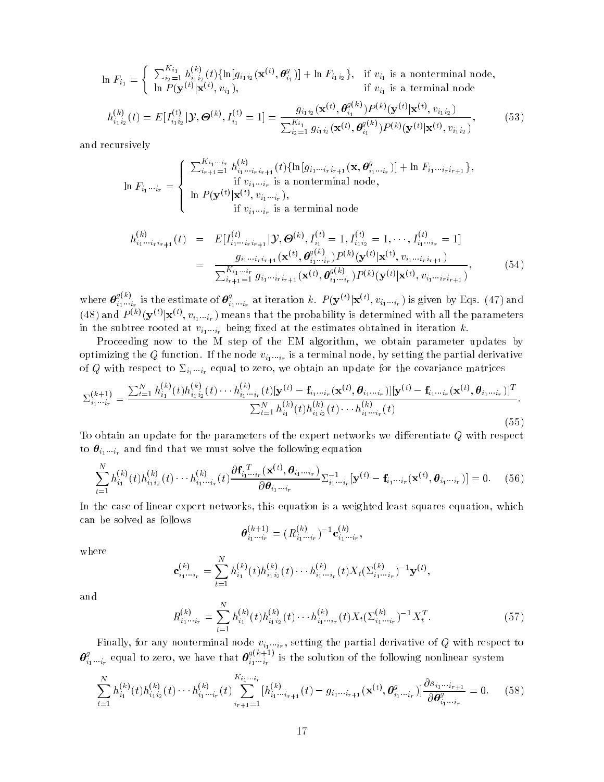$$
\ln F_{i_1} = \begin{cases} \sum_{i_2=1}^{K_{i_1}} h_{i_1 i_2}^{(k)}(t) \{ \ln[g_{i_1 i_2}(\mathbf{x}^{(t)}, \boldsymbol{\theta}_{i_1}^g)] + \ln F_{i_1 i_2} \}, & \text{if } v_{i_1} \text{ is a nonterminal node}, \\ \ln P(\mathbf{y}^{(t)} | \mathbf{x}^{(t)}, v_{i_1}), & \text{if } v_{i_1} \text{ is a terminal node} \end{cases}
$$
  
\n
$$
h^{(k)}(t) = E[\mathbf{I}^{(t)} | \mathcal{Y}, \Theta^{(k)} | \mathbf{I}^{(t)}] = 1
$$

$$
h_{i_1 i_2}^{(k)}(t) = E[I_{i_1 i_2}^{(t)} | \mathcal{Y}, \Theta^{(k)}, I_{i_1}^{(t)} = 1] = \frac{g_{i_1 i_2}(\mathbf{x}^{(t)}, \mathbf{\Theta}_{i_1}^{(t)}) F^{(k)}(\mathbf{y}^{(t)} | \mathbf{x}^{(t)}, v_{i_1 i_2})}{\sum_{i_2=1}^{K_{i_1}} g_{i_1 i_2}(\mathbf{x}^{(t)}, \mathbf{\Theta}_{i_1}^{g(k)}) P^{(k)}(\mathbf{y}^{(t)} | \mathbf{x}^{(t)}, v_{i_1 i_2})},
$$
(53)

and recursively

$$
\ln F_{i_1\cdots i_r} = \begin{cases} \sum_{i_{r+1}=1}^{K_{i_1\cdots i_r}} h_{i_1\cdots i_r i_{r+1}}^{(k)}(t) \{\ln[g_{i_1\cdots i_r i_{r+1}}(\mathbf{x}, \boldsymbol{\theta}_{i_1\cdots i_r}^g)] + \ln F_{i_1\cdots i_r i_{r+1}}\},\\ \text{if } v_{i_1\cdots i_r} \text{ is a nonterminal node},\\ \ln P(\mathbf{y}^{(t)}|\mathbf{x}^{(t)}, v_{i_1\cdots i_r}),\\ \text{if } v_{i_1\cdots i_r} \text{ is a terminal node} \end{cases}
$$

$$
h_{i_1\cdots i_r i_{r+1}}^{(k)}(t) = E[I_{i_1\cdots i_r i_{r+1}}^{(t)} | \mathcal{Y}, \Theta^{(k)}, I_{i_1}^{(t)} = 1, I_{i_1 i_2}^{(t)} = 1, \cdots, I_{i_1\cdots i_r}^{(t)} = 1]
$$
  

$$
= \frac{g_{i_1\cdots i_r i_{r+1}}(\mathbf{x}^{(t)}, \theta_{i_1\cdots i_r}^{g(k)}) P^{(k)}(\mathbf{y}^{(t)} | \mathbf{x}^{(t)}, v_{i_1\cdots i_r i_{r+1}})}{\sum_{i_{r+1}=1}^{K_{i_1\cdots i_r} g_{i_1\cdots i_r i_{r+1}}(\mathbf{x}^{(t)}, \theta_{i_1\cdots i_r}^{g(k)}) P^{(k)}(\mathbf{y}^{(t)} | \mathbf{x}^{(t)}, v_{i_1\cdots i_r i_{r+1}})},
$$
(54)

where  $\boldsymbol{\theta}^{g(k)}_{i}$  i  $_{i_1\cdots i_r}^{g(k)}$  is the estimate of  $\bm{\theta}^g_{i_1\cdots i_r}$  at iteration  $k$ .  $P(\mathbf{y}^{(t)}|\mathbf{x}^{(t)},v_{i_1\cdots i_r})$  is given by Eqs. (47) and (48) and  $P^{(k)}(\mathbf{y}^{(t)}|\mathbf{x}^{(t)},v_{i_1\cdots i_r})$  means that the probability is determined with all the parameters in the subtree rooted at  $v_{i_1\cdots i_r}$  being fixed at the estimates obtained in iteration k.

Proceeding now to the M step of the EM algorithm, we obtain parameter updates by optimizing the  $Q$  function. If the node  $v_{i_1\ldots i_r}$  is a terminal node, by setting the partial derivative of Q with respect to  $\Sigma_{i_1\cdots i_r}$  equal to zero, we obtain an update for the covariance matrices

$$
\Sigma_{i_1\cdots i_r}^{(k+1)} = \frac{\sum_{t=1}^{N} h_{i_1}^{(k)}(t)h_{i_1i_2}^{(k)}(t)\cdots h_{i_1\cdots i_r}^{(k)}(t)[\mathbf{y}^{(t)} - \mathbf{f}_{i_1\cdots i_r}(\mathbf{x}^{(t)}, \boldsymbol{\theta}_{i_1\cdots i_r})][\mathbf{y}^{(t)} - \mathbf{f}_{i_1\cdots i_r}(\mathbf{x}^{(t)}, \boldsymbol{\theta}_{i_1\cdots i_r})]^T}{\sum_{t=1}^{N} h_{i_1}^{(k)}(t)h_{i_1i_2}^{(k)}(t)\cdots h_{i_1\cdots i_r}^{(k)}(t)}.
$$
\n(55)

To obtain an update for the parameters of the expert networks we differentiate  $Q$  with respect to  $\boldsymbol{\theta}_{i_1\cdots i_r}$  and find that we must solve the following equation

$$
\sum_{t=1}^{N} h_{i_1}^{(k)}(t) h_{i_1 i_2}^{(k)}(t) \cdots h_{i_1 \cdots i_r}^{(k)}(t) \frac{\partial \mathbf{f}_{i_1 \cdots i_r}^{(T)}(\mathbf{x}^{(t)}, \boldsymbol{\theta}_{i_1 \cdots i_r})}{\partial \boldsymbol{\theta}_{i_1 \cdots i_r}} \Sigma_{i_1 \cdots i_r}^{-1} [\mathbf{y}^{(t)} - \mathbf{f}_{i_1 \cdots i_r}(\mathbf{x}^{(t)}, \boldsymbol{\theta}_{i_1 \cdots i_r})] = 0. \quad (56)
$$

In the case of linear expert networks, this equation is a weighted least squares equation, which can be solved as follows

$$
\boldsymbol{\theta}_{i_1\cdots i_r}^{(k+1)} = (R_{i_1\cdots i_r}^{(k)})^{-1} \mathbf{c}_{i_1\cdots i_r}^{(k)},
$$

where

$$
\mathbf{c}_{i_1\cdots i_r}^{(k)} = \sum_{t=1}^N h_{i_1}^{(k)}(t)h_{i_1i_2}^{(k)}(t)\cdots h_{i_1\cdots i_r}^{(k)}(t)X_t(\Sigma_{i_1\cdots i_r}^{(k)})^{-1}\mathbf{y}^{(t)},
$$

and

$$
R_{i_1\cdots i_r}^{(k)} = \sum_{t=1}^{N} h_{i_1}^{(k)}(t) h_{i_1 i_2}^{(k)}(t) \cdots h_{i_1\cdots i_r}^{(k)}(t) X_t (\Sigma_{i_1\cdots i_r}^{(k)})^{-1} X_t^T.
$$
 (57)

 $\sim$   $\sim$   $\sim$   $\sim$ 

r many, for any nonterminal node  $v_{i_1\ldots i_r},$  setting the partial derivative of  $Q$  with respect to  $\bm{\theta}_{i_1 \cdots i_r}^g$  equal to zero, we have that  $\bm{\theta}_{i_1 \cdots i_r}^{g_1 \kappa +}$  $g(k+1)$ .  $i_1 \cdots i_r$  is the solution of the following nonlinear system

$$
\sum_{t=1}^{N} h_{i_1}^{(k)}(t) h_{i_1 i_2}^{(k)}(t) \cdots h_{i_1 \cdots i_r}^{(k)}(t) \sum_{i_{r+1}=1}^{K_{i_1 \cdots i_r}} [h_{i_1 \cdots i_{r+1}}^{(k)}(t) - g_{i_1 \cdots i_{r+1}}(\mathbf{x}^{(t)}, \boldsymbol{\theta}_{i_1 \cdots i_r}^g)] \frac{\partial s_{i_1 \cdots i_{r+1}}}{\partial \boldsymbol{\theta}_{i_1 \cdots i_r}^g} = 0. \tag{58}
$$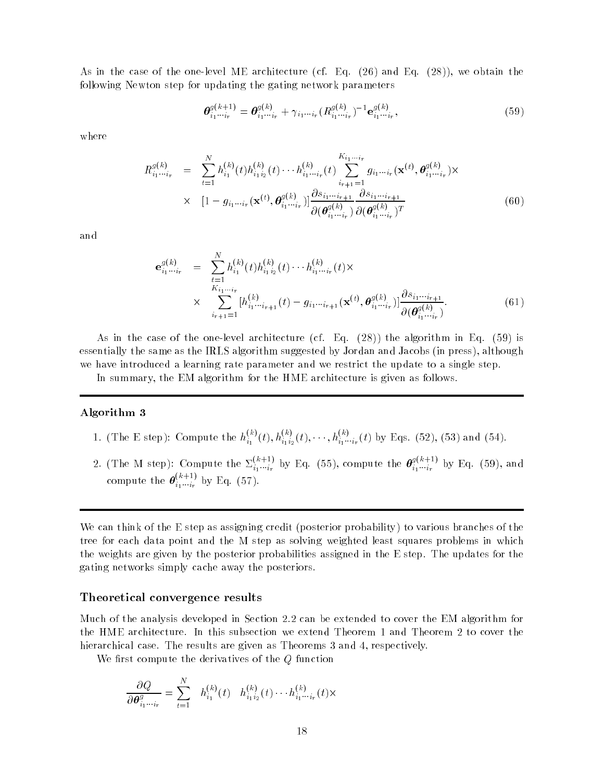As in the case of the one-level ME architecture (cf. Eq. (26) and Eq. (28)), we obtain the following Newton step for updating the gating network parameters

$$
\boldsymbol{\theta}_{i_1\cdots i_r}^{g(k+1)} = \boldsymbol{\theta}_{i_1\cdots i_r}^{g(k)} + \gamma_{i_1\cdots i_r} (R_{i_1\cdots i_r}^{g(k)})^{-1} \mathbf{e}_{i_1\cdots i_r}^{g(k)},
$$
\n(59)

where

$$
R_{i_1\cdots i_r}^{g(k)} = \sum_{t=1}^{N} h_{i_1}^{(k)}(t) h_{i_1 i_2}^{(k)}(t) \cdots h_{i_1\cdots i_r}^{(k)}(t) \sum_{i_{r+1}=1}^{K_{i_1\cdots i_r}} g_{i_1\cdots i_r}(\mathbf{x}^{(t)}, \boldsymbol{\theta}_{i_1\cdots i_r}^{g(k)}) \times \times [1 - g_{i_1\cdots i_r}(\mathbf{x}^{(t)}, \boldsymbol{\theta}_{i_1\cdots i_r}^{g(k)})] \frac{\partial s_{i_1\cdots i_{r+1}}}{\partial(\boldsymbol{\theta}_{i_1\cdots i_r}^{g(k)})} \frac{\partial s_{i_1\cdots i_{r+1}}}{\partial(\boldsymbol{\theta}_{i_1\cdots i_r}^{g(k)})^T}
$$
(60)

and

$$
\mathbf{e}_{i_1\cdots i_r}^{g(k)} = \sum_{\substack{t=1\\K_{i_1\cdots i_r}\\k_1=1}}^{N} h_{i_1}^{(k)}(t) h_{i_1i_2}^{(k)}(t) \cdots h_{i_1\cdots i_r}^{(k)}(t) \times
$$
  
 
$$
\times \sum_{i_{r+1}=1}^{K_{i_1\cdots i_r}} [h_{i_1\cdots i_{r+1}}^{(k)}(t) - g_{i_1\cdots i_{r+1}}(\mathbf{x}^{(t)}, \boldsymbol{\theta}_{i_1\cdots i_r}^{g(k)})] \frac{\partial s_{i_1\cdots i_{r+1}}}{\partial(\boldsymbol{\theta}_{i_1\cdots i_r}^{g(k)})}.
$$
(61)

As in the case of the one-level architecture (cf. Eq. (28)) the algorithm in Eq. (59) is essentially the same as the IRLS algorithm suggested by Jordan and Jacobs (in press), although we have introduced a learning rate parameter and we restrict the update to a single step.

In summary, the EM algorithm for the HME architecture is given as follows.

#### Algorithm 3

- 1. (The E step): Compute the  $h_{i_1}^{(k)}(t), h_{i_1i_2}^{(k)}(t), \cdots, h_{i_1\cdots i_r}^{(k)}(t)$  by Eqs. (52), (53) and (54).
- 2. (The M step): Compute the  $\Sigma^{(k+1)}_{i_1\cdots i_r}$  by Eq. (55), compute the  $\bm{\theta}^{g(k+1)}_{i_1\cdots i_r}$  $g(k+1)$ <sub>1</sub>  $i_1 \cdots i_r$  by Eq. (59), and compute the  $\boldsymbol{\theta}^{(k+1)}_{i}$  b  $i_1 \cdots i_r$  by Eq. (57).

We can think of the E step as assigning credit (posterior probability) to various branches of the tree for each data point and the M step as solving weighted least squares problems in which the weights are given by the posterior probabilities assigned in the E step. The updates for the gating networks simply cache away the posteriors.

#### Theoretical convergence results

Much of the analysis developed in Section 2.2 can be extended to cover the EM algorithm for the HME architecture. In this subsection we extend Theorem 1 and Theorem 2 to cover the hierarchical case. The results are given as Theorems 3 and 4, respectively.

We first compute the derivatives of the  $Q$  function

$$
\frac{\partial Q}{\partial \theta_{i_1 \cdots i_r}^g} = \sum_{t=1}^N h_{i_1}^{(k)}(t) h_{i_1 i_2}^{(k)}(t) \cdots h_{i_1 \cdots i_r}^{(k)}(t) \times
$$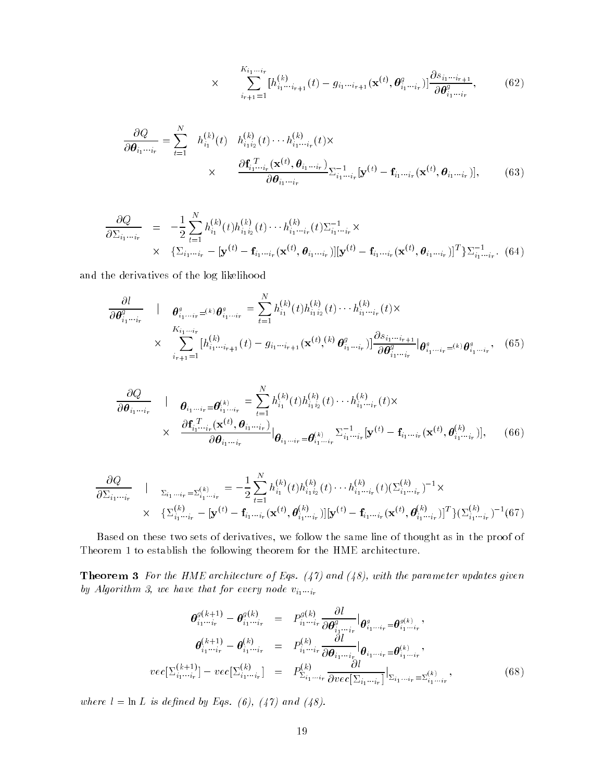$$
\times \qquad \sum_{i_{r+1}=1}^{K_{i_1\cdots i_r}} [h_{i_1\cdots i_{r+1}}^{(k)}(t) - g_{i_1\cdots i_{r+1}}(\mathbf{x}^{(t)}, \boldsymbol{\theta}_{i_1\cdots i_r}^g)] \frac{\partial s_{i_1\cdots i_{r+1}}}{\partial \boldsymbol{\theta}_{i_1\cdots i_r}^g},\tag{62}
$$

$$
\frac{\partial Q}{\partial \boldsymbol{\theta}_{i_1 \cdots i_r}} = \sum_{t=1}^N h_{i_1}^{(k)}(t) h_{i_1 i_2}^{(k)}(t) \cdots h_{i_1 \cdots i_r}^{(k)}(t) \times
$$
\n
$$
\times \qquad \frac{\partial \mathbf{f}_{i_1 \cdots i_r}^{(T)}(\mathbf{x}^{(t)}, \boldsymbol{\theta}_{i_1 \cdots i_r})}{\partial \boldsymbol{\theta}_{i_1 \cdots i_r}} \sum_{i_1 \cdots i_r}^{-1} [\mathbf{y}^{(t)} - \mathbf{f}_{i_1 \cdots i_r}(\mathbf{x}^{(t)}, \boldsymbol{\theta}_{i_1 \cdots i_r})], \qquad (63)
$$

$$
\frac{\partial Q}{\partial \Sigma_{i_1 \cdots i_r}} = -\frac{1}{2} \sum_{t=1}^N h_{i_1}^{(k)}(t) h_{i_1 i_2}^{(k)}(t) \cdots h_{i_1 \cdots i_r}^{(k)}(t) \Sigma_{i_1 \cdots i_r}^{-1} \times \times \{ \Sigma_{i_1 \cdots i_r} - [\mathbf{y}^{(t)} - \mathbf{f}_{i_1 \cdots i_r}(\mathbf{x}^{(t)}, \boldsymbol{\theta}_{i_1 \cdots i_r})] [\mathbf{y}^{(t)} - \mathbf{f}_{i_1 \cdots i_r}(\mathbf{x}^{(t)}, \boldsymbol{\theta}_{i_1 \cdots i_r})]^T \} \Sigma_{i_1 \cdots i_r}^{-1}.
$$
(64)

and the derivatives of the log likelihood

$$
\frac{\partial l}{\partial \theta_{i_1 \cdots i_r}^g} \quad | \quad \theta_{i_1 \cdots i_r}^g = \sum_{t=1}^N h_{i_1}^{(k)}(t) h_{i_1 i_2}^{(k)}(t) \cdots h_{i_1 \cdots i_r}^{(k)}(t) \times \times \sum_{i_{r+1}=1}^{K_{i_1 \cdots i_r}} [h_{i_1 \cdots i_{r+1}}^{(k)}(t) - g_{i_1 \cdots i_{r+1}}(\mathbf{x}^{(t)}, k) \theta_{i_1 \cdots i_r}^g] \frac{\partial s_{i_1 \cdots i_{r+1}}}{\partial \theta_{i_1 \cdots i_r}^g} | \theta_{i_1 \cdots i_r}^g = (k) \theta_{i_1 \cdots i_r}^g, \quad (65)
$$

$$
\frac{\partial Q}{\partial \theta_{i_1 \cdots i_r}} \quad | \quad \theta_{i_1 \cdots i_r} = \theta_{i_1 \cdots i_r}^{(k)} = \sum_{t=1}^N h_{i_1}^{(k)}(t) h_{i_1 i_2}^{(k)}(t) \cdots h_{i_1 \cdots i_r}^{(k)}(t) \times \times \quad \frac{\partial \mathbf{f}_{i_1 \cdots i_r}^{T}(\mathbf{x}^{(t)}, \theta_{i_1 \cdots i_r})}{\partial \theta_{i_1 \cdots i_r}} \Big|_{\theta_{i_1 \cdots i_r} = \theta_{i_1 \cdots i_r}^{(k)} \sum_{i_1 \cdots i_r}^{-1} [\mathbf{y}^{(t)} - \mathbf{f}_{i_1 \cdots i_r}(\mathbf{x}^{(t)}, \theta_{i_1 \cdots i_r}^{(k)})],
$$
(66)

$$
\frac{\partial Q}{\partial \Sigma_{i_1 \cdots i_r}} \quad | \quad \Sigma_{i_1 \cdots i_r} = \Sigma_{i_1 \cdots i_r}^{(k)} = -\frac{1}{2} \sum_{t=1}^N h_{i_1}^{(k)}(t) h_{i_1 i_2}^{(k)}(t) \cdots h_{i_1 \cdots i_r}^{(k)}(t) (\Sigma_{i_1 \cdots i_r}^{(k)})^{-1} \times \times \quad \{\Sigma_{i_1 \cdots i_r}^{(k)} - [\mathbf{y}^{(t)} - \mathbf{f}_{i_1 \cdots i_r}(\mathbf{x}^{(t)}, \boldsymbol{\theta}_{i_1 \cdots i_r}^{(k)})][\mathbf{y}^{(t)} - \mathbf{f}_{i_1 \cdots i_r}(\mathbf{x}^{(t)}, \boldsymbol{\theta}_{i_1 \cdots i_r}^{(k)})]^T\} (\Sigma_{i_1 \cdots i_r}^{(k)})^{-1} (67)
$$

Based on these two sets of derivatives, we follow the same line of thought as in the proof of Theorem 1 to establish the following theorem for the HME architecture.

**Theorem 3** For the HME architecture of Eqs.  $(47)$  and  $(48)$ , with the parameter updates given by Algorithm 3, we have that for every node  $v_{i_1\cdots i_r}$ 

$$
\theta_{i_1\cdots i_r}^{g(k+1)} - \theta_{i_1\cdots i_r}^{g(k)} = P_{i_1\cdots i_r}^{g(k)} \frac{\partial l}{\partial \theta_{i_1\cdots i_r}^g} \Big|_{\theta_{i_1\cdots i_r}^g = \theta_{i_1\cdots i_r}^{g(k)}},
$$
\n
$$
\theta_{i_1\cdots i_r}^{(k+1)} - \theta_{i_1\cdots i_r}^{(k)} = P_{i_1\cdots i_r}^{(k)} \frac{\partial l}{\partial \theta_{i_1\cdots i_r}^g} \Big|_{\theta_{i_1\cdots i_r} = \theta_{i_1\cdots i_r}^{(k)}},
$$
\n
$$
vec[\Sigma_{i_1\cdots i_r}^{(k+1)}] - vec[\Sigma_{i_1\cdots i_r}^{(k)}] = P_{\Sigma_{i_1\cdots i_r}}^{(k)} \frac{\partial l}{\partial vec[\Sigma_{i_1\cdots i_r}]} \Big|_{\Sigma_{i_1\cdots i_r} = \Sigma_{i_1\cdots i_r}^{(k)}},
$$
\n(68)

where  $l = \ln L$  is defined by Eqs. (6), (47) and (48).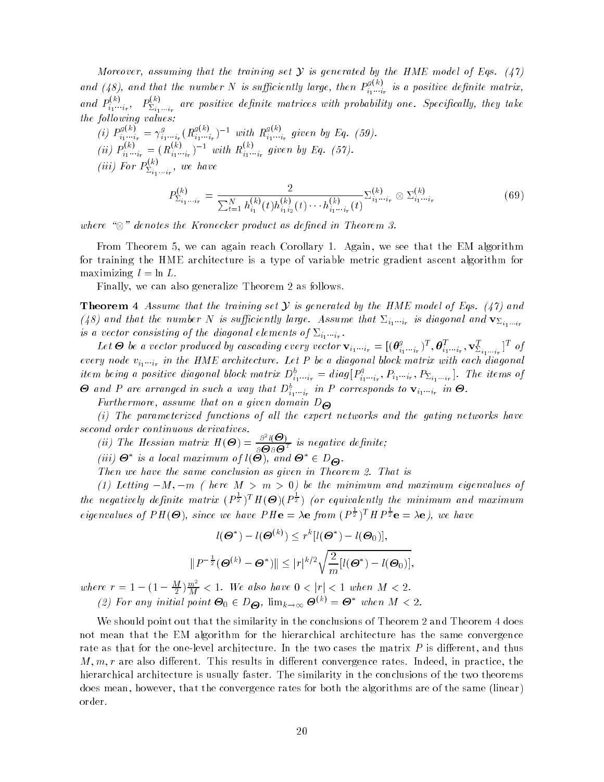Moreover, assuming that the training set  $\mathcal Y$  is generated by the HME model of Eqs. (47) and (48), and that the number N is sufficiently large, then  $P_s^{g(k)}$  $i_1 \cdots i_r$  to a positive activities matrix, and  $P_i^{(k)}$ .  $\mathcal{P}^{(k)}_{i_1\cdots i_r},\ \ \ P^{(k)}_{\Sigma_{i_1\cdots i_r}}$  $\Delta_{i_1\cdots i_r}$  are positive depicted matrices with probability one. Specify, they take the following values:

(i) 
$$
P_{i_1 \dots i_r}^{g(k)} = \gamma_{i_1 \dots i_r}^g (R_{i_1 \dots i_r}^{g(k)})^{-1}
$$
 with  $R_{i_1 \dots i_r}^{g(k)}$  given by Eq. (59).  
\n(ii)  $P_{i_1 \dots i_r}^{(k)} = (R_{i_1 \dots i_r}^{(k)})^{-1}$  with  $R_{i_1 \dots i_r}^{(k)}$  given by Eq. (57).  
\n(iii) For  $P_{\Sigma_{i_1 \dots i_r}}^{(k)}$ , we have

$$
P_{\Sigma_{i_1\cdots i_r}}^{(k)} = \frac{2}{\sum_{t=1}^N h_{i_1}^{(k)}(t)h_{i_1i_2}^{(k)}(t)\cdots h_{i_1\cdots i_r}^{(k)}(t)} \Sigma_{i_1\cdots i_r}^{(k)} \otimes \Sigma_{i_1\cdots i_r}^{(k)} \tag{69}
$$

where  $\vee$  denotes the Society product as depicted in Society and Society

From Theorem 5, we can again reach Corollary 1. Again, we see that the EM algorithm for training the HME architecture is a type of variable metric gradient ascent algorithm for maximizing  $l=\ln L$ .

Finally, we can also generalize Theorem 2 as follows.

**Theorem 4** Assume that the training set Y is generated by the HME model of Eqs. (47) and (48) and that the number N is sufficiently large. Assume that  $\mathbb{Z}_{i_1\cdots i_r}$  is alayonal and  $\mathbf{v}_{\Sigma_{i_1\cdots i_r}}$ is a vector consisting of the diagonal elements of  $\Sigma_{i_1\cdots i_r}$ .

Let  $\bm{\Theta}$  be a vector produced by cascading every vector  $\mathbf{v}_{i_1\cdots i_r}=[(\bm{\theta}^g_{i_1\cdots i_r})^T,\bm{\theta}^T_{i_1\cdots i_r},\mathbf{v}^T_{\Sigma_{i_1\cdots i_r}}]^T$  of every node  $v_{i_1\ldots i_r}$  in the HME architecture. Let  $F$  be a anagonal block matrix with each anagonal item being a positive diagonal block matrix  $D_{i_1\cdots i_r}^b = diag[P_{i_1\cdots i_r}^q, P_{i_1\cdots i_r}, P_{\Sigma_{i_1\cdots i_r}}]$ . The items of  $\Theta$  and P are arranged in such a way that  $D_{i_1...i_r}^b$  in P corresponds to  $\mathbf{v}_{i_1...i_r}$  in  $\Theta$ .

Furthermore, assume that on a given domain  $D_{\Theta}$ 

(i) The parameterized functions of all the expert networks and the gating networks have second order continuous derivatives.

(ii) The Hessian matrix  $H(\boldsymbol{\Theta}) = \frac{\partial^2 l(\boldsymbol{\Theta})}{\partial \boldsymbol{\Theta} \partial \boldsymbol{\Theta}^T}$  is negative definite;

 $(iii)$   $\bullet$  is a local maximum of  $i(\bullet)$ , and  $\bullet \in D_{\Theta}$ .

Then we have the same conclusion as given in Theorem 2. That is

(1) Letting  $-M$ ,  $-m$  ( here  $M>m>0$ ) be the minimum and maximum eigenvalues of the negatively definite matrix  $(P^{\frac{1}{2}})^{T}H(\Theta)(P^{\frac{1}{2}})$  (or equivalently the minimum and maximum eigenvalues of  $PH(\mathbf{\Theta})$ , since we have  $PH\mathbf{e} = \lambda \mathbf{e}$  from  $(P^{\frac{1}{2}})^T H P^{\frac{1}{2}} \mathbf{e} = \lambda \mathbf{e}$ , we have

$$
l(\boldsymbol{\Theta}^*) - l(\boldsymbol{\Theta}^{(k)}) \le r^k [l(\boldsymbol{\Theta}^*) - l(\boldsymbol{\Theta}_0)],
$$
  

$$
||P^{-\frac{1}{2}}(\boldsymbol{\Theta}^{(k)} - \boldsymbol{\Theta}^*)|| \le |r|^{k/2} \sqrt{\frac{2}{m} [l(\boldsymbol{\Theta}^*) - l(\boldsymbol{\Theta}_0)],
$$

where  $r = 1 - (1 - \frac{M}{2})\frac{m^2}{M} < 1$ . We also have  $0 < |r| < 1$  when  $M < 2$ . (2) For any initial point  $\mathbf{\Theta}_0 \in D_{\mathbf{\Theta}}$ ,  $\lim_{k\to\infty} \mathbf{\Theta}^{(k)} = \mathbf{\Theta}^*$  when  $M < 2$ .

We should point out that the similarity in the conclusions of Theorem 2 and Theorem 4 does not mean that the EM algorithm for the hierarchical architecture has the same convergence rate as that for the one-level architecture. In the two cases the matrix  $P$  is different, and thus  $M, m, r$  are also different. This results in different convergence rates. Indeed, in practice, the hierarchical architecture is usually faster. The similarity in the conclusions of the two theorems does mean, however, that the convergence rates for both the algorithms are of the same (linear) order.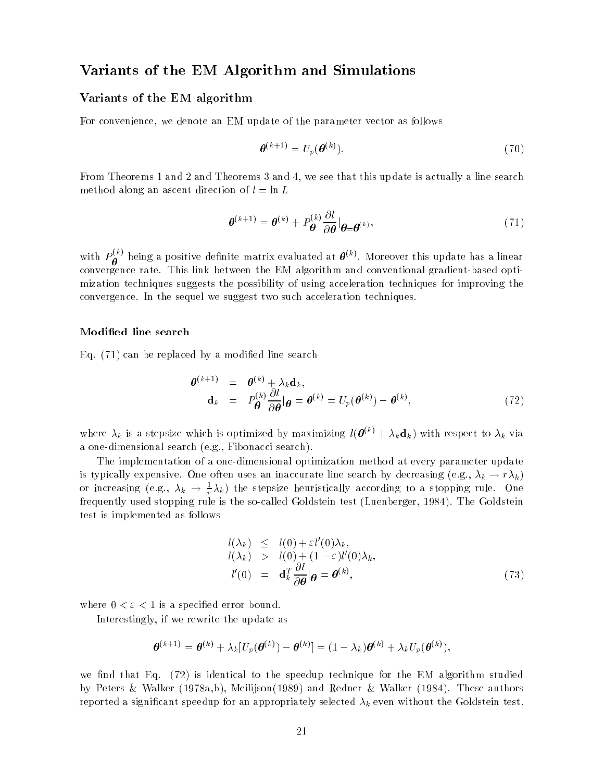## Variants of the EM Algorithm and Simulations

#### Variants of the EM algorithm

For convenience, we denote an EM update of the parameter vector as follows

$$
\boldsymbol{\theta}^{(k+1)} = U_p(\boldsymbol{\theta}^{(k)}).
$$
\n(70)

From Theorems 1 and 2 and Theorems 3 and 4, we see that this update is actually a line search method along an ascent direction of  $l = \ln L$ 

$$
\boldsymbol{\theta}^{(k+1)} = \boldsymbol{\theta}^{(k)} + P_{\boldsymbol{\theta}}^{(k)} \frac{\partial l}{\partial \boldsymbol{\theta}} \big|_{\boldsymbol{\theta} = \boldsymbol{\theta}^{(k)}},\tag{71}
$$

with  $P_{\bm{a}}^{(k)}$  being a positive definite matrix evaluated at  $\bm{\theta}^{(k)}$ . Moreover this update has a linear convergence rate. This link between the EM algorithm and conventional gradient-based optimization techniques suggests the possibility of using acceleration techniques for improving the convergence. In the sequel we suggest two such acceleration techniques.

#### Modied line search

Eq. (71) can be replaced by a modied line search

$$
\begin{array}{rcl}\n\boldsymbol{\theta}^{(k+1)} & = & \boldsymbol{\theta}^{(k)} + \lambda_k \mathbf{d}_k, \\
\mathbf{d}_k & = & P_{\boldsymbol{\theta}}^{(k)} \frac{\partial l}{\partial \boldsymbol{\theta}} \vert \boldsymbol{\theta} = \boldsymbol{\theta}^{(k)} = U_p(\boldsymbol{\theta}^{(k)}) - \boldsymbol{\theta}^{(k)},\n\end{array} \tag{72}
$$

where  $\lambda_k$  is a stepsize which is optimized by maximizing  $l(\boldsymbol{\theta}^{(k)} + \lambda_k \mathbf{d}_k)$  with respect to  $\lambda_k$  via a one-dimensional search (e.g., Fibonacci search).

The implementation of a one-dimensional optimization method at every parameter update is typically expensive. One often uses an inaccurate line search by decreasing (e.g.,  $\lambda_k \to r \lambda_k$ ) or increasing (e.g.,  $\lambda_k \to \frac{1}{r} \lambda_k$ ) the stepsize heuristically according to a stopping rule. One frequently used stopping rule is the so-called Goldstein test (Luenberger, 1984). The Goldstein test is implemented as follows

$$
l(\lambda_k) \leq l(0) + \varepsilon l'(0)\lambda_k,\n l(\lambda_k) > l(0) + (1 - \varepsilon)l'(0)\lambda_k,\n l'(0) = \mathbf{d}_k^T \frac{\partial l}{\partial \theta} |\boldsymbol{\theta} = \boldsymbol{\theta}^{(k)},
$$
\n(73)

where  $0 < \varepsilon < 1$  is a specified error bound.

Interestingly, if we rewrite the update as

$$
\boldsymbol{\theta}^{(k+1)} = \boldsymbol{\theta}^{(k)} + \lambda_k [U_p(\boldsymbol{\theta}^{(k)}) - \boldsymbol{\theta}^{(k)}] = (1 - \lambda_k) \boldsymbol{\theta}^{(k)} + \lambda_k U_p(\boldsymbol{\theta}^{(k)}),
$$

we find that Eq.  $(72)$  is identical to the speedup technique for the EM algorithm studied by Peters & Walker (1978a,b), Meilijson(1989) and Redner & Walker (1984). These authors reported a significant speedup for an appropriately selected  $\lambda_k$  even without the Goldstein test.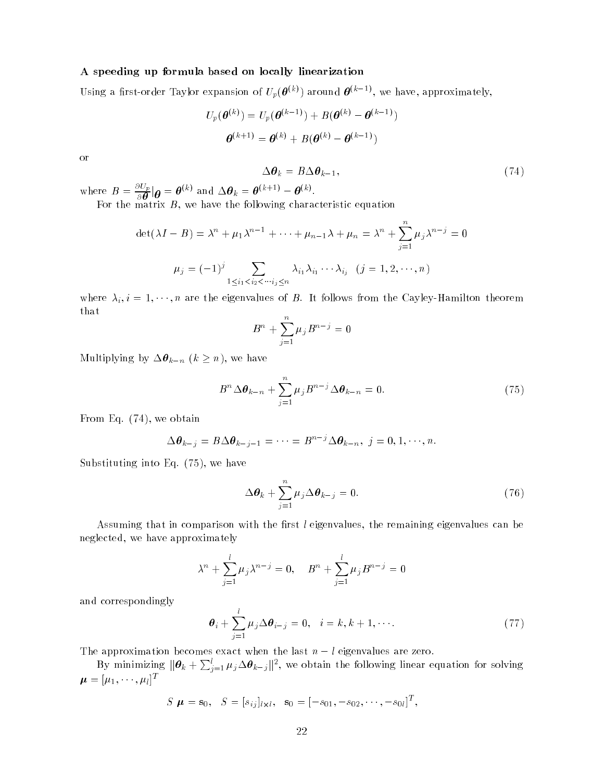#### A speeding up formula based on locally linearization

Using a first-order Taylor expansion of  $U_p(\boldsymbol{\theta}^{(k)})$  around  $\boldsymbol{\theta}^{(k-1)}$ , we have, approximately,

$$
U_p(\boldsymbol{\theta}^{(k)}) = U_p(\boldsymbol{\theta}^{(k-1)}) + B(\boldsymbol{\theta}^{(k)} - \boldsymbol{\theta}^{(k-1)})
$$

$$
\boldsymbol{\theta}^{(k+1)} = \boldsymbol{\theta}^{(k)} + B(\boldsymbol{\theta}^{(k)} - \boldsymbol{\theta}^{(k-1)})
$$

or

$$
\Delta \boldsymbol{\theta}_k = B \Delta \boldsymbol{\theta}_{k-1},\tag{74}
$$

where  $B = \frac{\partial U_p}{\partial \boldsymbol{\theta}} | \boldsymbol{\theta} = \boldsymbol{\theta}^{(k)}$  and  $\Delta \boldsymbol{\theta}_k = \boldsymbol{\theta}^{(k+1)} - \boldsymbol{\theta}^{(k)}$ .

For the matrix  $\mathbf{F}$  and following characteristic equation characteristic equation characteristic equation (

$$
\det(\lambda I - B) = \lambda^n + \mu_1 \lambda^{n-1} + \dots + \mu_{n-1} \lambda + \mu_n = \lambda^n + \sum_{j=1}^n \mu_j \lambda^{n-j} = 0
$$

$$
\mu_j = (-1)^j \sum_{1 \le i_1 < i_2 < \dots, i_j \le n} \lambda_{i_1} \lambda_{i_1} \dots \lambda_{i_j} \quad (j = 1, 2, \dots, n)
$$

where  $\lambda_i$ ,  $i = 1, \dots, n$  are the eigenvalues of B. It follows from the Cayley-Hamilton theorem that

$$
B^n+\sum_{j=1}^n\mu_jB^{n-j}=0
$$

Multiplying by  $\Delta \theta_{k-n}$   $(k \geq n)$ , we have

$$
B^{n} \Delta \boldsymbol{\theta}_{k-n} + \sum_{j=1}^{n} \mu_j B^{n-j} \Delta \boldsymbol{\theta}_{k-n} = 0.
$$
 (75)

From Eq. (74), we obtain

$$
\Delta \boldsymbol{\theta}_{k-j} = B \Delta \boldsymbol{\theta}_{k-j-1} = \cdots = B^{n-j} \Delta \boldsymbol{\theta}_{k-n}, \ j = 0, 1, \cdots, n.
$$

Substituting into Eq. (75), we have

$$
\Delta \boldsymbol{\theta}_k + \sum_{j=1}^n \mu_j \Delta \boldsymbol{\theta}_{k-j} = 0. \qquad (76)
$$

Assuming that in comparison with the first  $l$  eigenvalues, the remaining eigenvalues can be neglected, we have approximately

$$
\lambda^{n} + \sum_{j=1}^{l} \mu_{j} \lambda^{n-j} = 0, \quad B^{n} + \sum_{j=1}^{l} \mu_{j} B^{n-j} = 0
$$

and correspondingly

$$
\boldsymbol{\theta}_{i} + \sum_{j=1}^{l} \mu_{j} \Delta \boldsymbol{\theta}_{i-j} = 0, \quad i = k, k+1, \cdots.
$$
 (77)

The approximation becomes exact when the last  $n - l$  eigenvalues are zero.

By minimizing  $\|\bm{\theta}_k+\sum_{j=1}^l\mu_j\Delta\bm{\theta}_{k-j}\|^2,$  we obtain the following linear equation for solving  $\mu = [\mu_1, \cdots, \mu_l]^T$ 

$$
S \mu = \mathbf{s}_0, \quad S = [s_{ij}]_{l \times l}, \quad \mathbf{s}_0 = [-s_{01}, -s_{02}, \cdots, -s_{0l}]^T,
$$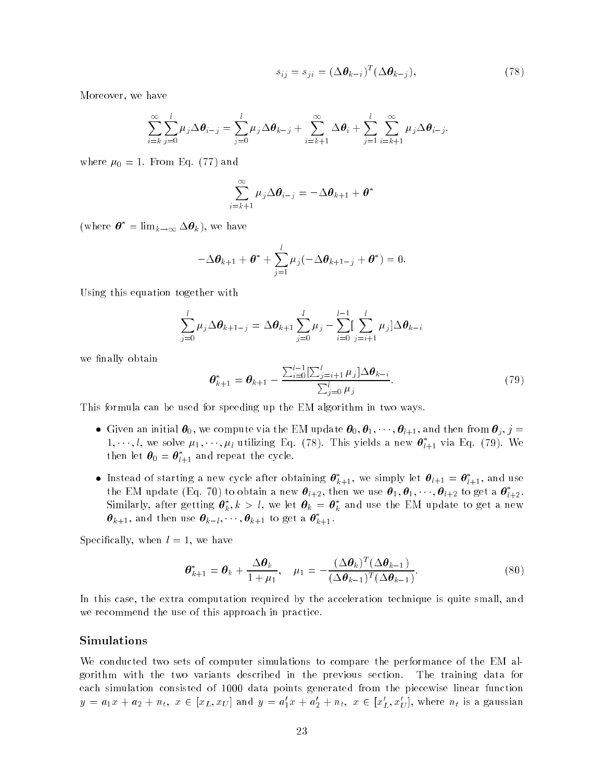$$
s_{ij} = s_{ji} = (\Delta \boldsymbol{\theta}_{k-i})^T (\Delta \boldsymbol{\theta}_{k-j}), \qquad (78)
$$

Moreover, we have

$$
\sum_{i=k}^{\infty}\sum_{j=0}^{l}\mu_j\Delta\theta_{i-j}=\sum_{j=0}^{l}\mu_j\Delta\theta_{k-j}+\sum_{i=k+1}^{\infty}\Delta\theta_i+\sum_{j=1}^{l}\sum_{i=k+1}^{\infty}\mu_j\Delta\theta_{i-j}.
$$

where  $\mu_0 = 1$ . From Eq. (77) and

$$
\sum_{i=k+1}^{\infty} \mu_j \Delta \boldsymbol{\theta}_{i-j} = -\Delta \boldsymbol{\theta}_{k+1} + \boldsymbol{\theta}^*
$$

(where  $\boldsymbol{\theta}^* = \lim_{k \to \infty} \Delta \boldsymbol{\theta}_k$ ), we have

$$
-\Delta \boldsymbol{\theta}_{k+1} + \boldsymbol{\theta}^* + \sum_{j=1}^l \mu_j(-\Delta \boldsymbol{\theta}_{k+1-j} + \boldsymbol{\theta}^*) = 0.
$$

Using this equation together with

$$
\sum_{j=0}^{l} \mu_j \Delta \theta_{k+1-j} = \Delta \theta_{k+1} \sum_{j=0}^{l} \mu_j - \sum_{i=0}^{l-1} \sum_{j=i+1}^{l} \mu_j \Delta \theta_{k-i}
$$

we finally obtain

$$
\boldsymbol{\theta}_{k+1}^{*} = \boldsymbol{\theta}_{k+1} - \frac{\sum_{i=0}^{l-1} [\sum_{j=i+1}^{l} \mu_j] \Delta \boldsymbol{\theta}_{k-i}}{\sum_{j=0}^{l} \mu_j}.
$$
\n(79)

This formula can be used for speeding up the EM algorithm in two ways.

- Given an initial  $\theta_0$ , we compute via the EM update  $\theta_0, \theta_1, \cdots, \theta_{l+1}$ , and then from  $\theta_j, j =$  $1, \dots, i$ , we solve  $\mu_1, \dots, \mu_i$  utilizing Eq. (78). This yields a new  $\boldsymbol{\theta}_{l+1}$  via Eq. (79). We then let  $\boldsymbol{\sigma}_0 = \boldsymbol{\sigma}_{l+1}$  and repeat the cycle.
- **Instead of starting a new cycle after obtaining**  $\boldsymbol{\sigma}_{k+1}$ **, we simply let**  $\boldsymbol{\sigma}_{l+1} = \boldsymbol{\sigma}_{l+1}$ **, and use** the EM update (Eq. 70) to obtain a new  $\pmb{\sigma}_{l+2}$ , then we use  $\pmb{\sigma}_1, \pmb{\sigma}_1, \cdots, \pmb{\sigma}_{l+2}$  to get a  $\pmb{\sigma}_{l+2}$ . Similarly, after getting  $\boldsymbol{\sigma}_k, \kappa > t$ , we let  $\boldsymbol{\sigma}_k = \boldsymbol{\sigma}_k$  and use the EM update to get a new  $\bm{\sigma}_{k+1}\text{, and then use }\bm{\sigma}_{k-l},\cdots\text{,}\bm{\sigma}_{k+1}$  to get a  $\bm{\sigma}_{k+1}$ .

Specifically, when  $l = 1$ , we have

$$
\boldsymbol{\theta}_{k+1}^* = \boldsymbol{\theta}_k + \frac{\Delta \boldsymbol{\theta}_k}{1 + \mu_1}, \quad \mu_1 = -\frac{(\Delta \boldsymbol{\theta}_k)^T (\Delta \boldsymbol{\theta}_{k-1})}{(\Delta \boldsymbol{\theta}_{k-1})^T (\Delta \boldsymbol{\theta}_{k-1})}.
$$
\n(80)

In this case, the extra computation required by the acceleration technique is quite small, and we recommend the use of this approach in practice.

#### Simulations

We conducted two sets of computer simulations to compare the performance of the EM algorithm with the two variants described in the previous section. The training data for each simulation consisted of 1000 data points generated from the piecewise linear function  $y = a_1x + a_2 + n_t$ ,  $x \in [x_L, x_U]$  and  $y = a'_1x + a'_2 + n_t$ ,  $x \in [x'_L, x'_U]$ , where  $n_t$  is a gaussian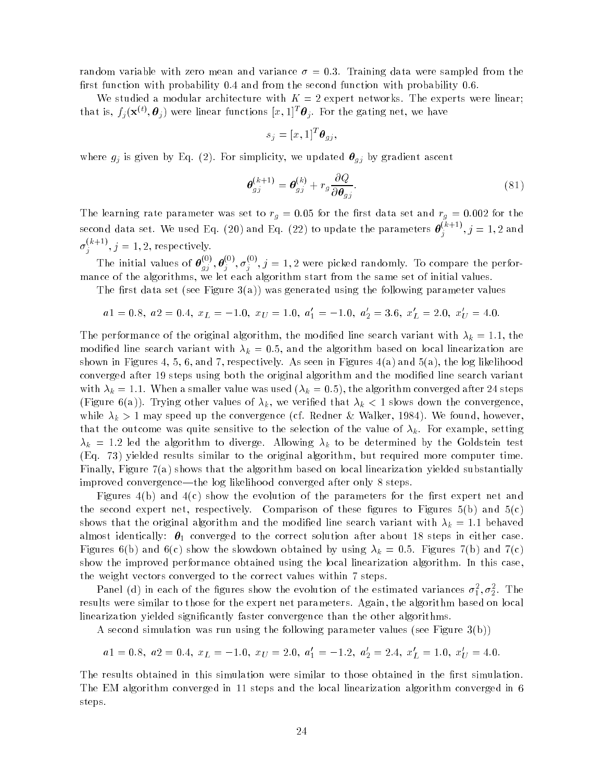random variable with zero mean and variance  $\sigma = 0.3$ . Training data were sampled from the first function with probability  $0.4$  and from the second function with probability  $0.6$ .

We studied a modular architecture with  $K = 2$  expert networks. The experts were linear; that is,  $f_j(\mathbf{x}^{(t)},\boldsymbol{\theta}_j)$  were linear functions  $[x,1]^T\boldsymbol{\theta}_j$ . For the gating net, we have

$$
s_j = [x, 1]^T \boldsymbol{\theta}_{gj},
$$

where  $g_j$  is given by Eq. (2). For simplicity, we updated  $\theta_{g_j}$  by gradient ascent

$$
\boldsymbol{\theta}_{gj}^{(k+1)} = \boldsymbol{\theta}_{gj}^{(k)} + r_g \frac{\partial Q}{\partial \boldsymbol{\theta}_{gj}}.
$$
\n(81)

The learning rate parameter was set to  $r_g = 0.05$  for the first data set and  $r_g = 0.002$  for the second data set. We used Eq. (20) and Eq. (22) to update the parameters  $\boldsymbol{\theta}^{(k+1)}_i, j$  $j \rightarrow J = 1, 2$  and  $\sigma_i^{(k+1)}$ , j  $j \rightarrow J = 1, 2, 1$ copecuvely.

The initial values of  $\theta_{gj}^{\gamma\gamma}, \theta_{j}^{\gamma\gamma}, \sigma_{j}^{\gamma\gamma}, j=1,2$  were picked randomly. To compare the performance of the algorithms, we let each algorithm start from the same set of initial values.

The first data set (see Figure 3(a)) was generated using the following parameter values

$$
a1 = 0.8, \ a2 = 0.4, \ x_L = -1.0, \ x_U = 1.0, \ a'_1 = -1.0, \ a'_2 = 3.6, \ x'_L = 2.0, \ x'_U = 4.0.
$$

The performance of the original algorithm, the modified line search variant with  $\lambda_k = 1.1,$  the modified line search variant with  $\lambda_k = 0.5$ , and the algorithm based on local linearization are shown in Figures 4, 5, 6, and 7, respectively. As seen in Figures 4(a) and 5(a), the log likelihood converged after 19 steps using both the original algorithm and the modified line search variant with  $\lambda_k = 1.1$ . When a smaller value was used  $(\lambda_k = 0.5)$ , the algorithm converged after 24 steps (Figure 6(a)). Trying other values of  $\lambda_k$ , we verified that  $\lambda_k < 1$  slows down the convergence, while  $\lambda_k > 1$  may speed up the convergence (cf. Redner & Walker, 1984). We found, however, that the outcome was quite sensitive to the selection of the value of  $\lambda_k$ . For example, setting  $\lambda_k$  = 1.2 led the algorithm to diverge. Allowing  $\lambda_k$  to be determined by the Goldstein test (Eq. 73) yielded results similar to the original algorithm, but required more computer time. Finally, Figure 7(a) shows that the algorithm based on local linearization yielded substantially improved convergence—the log likelihood converged after only 8 steps.

Figures  $4(b)$  and  $4(c)$  show the evolution of the parameters for the first expert net and the second expert net, respectively. Comparison of these figures to Figures  $5(b)$  and  $5(c)$ shows that the original algorithm and the modified line search variant with  $\lambda_k\,=\,1.1$  behaved almost identically:  $\bm{\theta}_1$  converged to the correct solution after about 18 steps in either case. Figures 6(b) and 6(c) show the slowdown obtained by using  $\lambda_k = 0.5$ . Figures 7(b) and 7(c) show the improved performance obtained using the local linearization algorithm. In this case, the weight vectors converged to the correct values within 7 steps.

r anel (u) in each of the ngures show the evolution of the estimated variances  $o_1, o_2$ . The results were similar to those for the expert net parameters. Again, the algorithm based on local linearization yielded significantly faster convergence than the other algorithms.

A second simulation was run using the following parameter values (see Figure  $3(b)$ )

$$
a1 = 0.8, a2 = 0.4, x_L = -1.0, x_U = 2.0, a'_1 = -1.2, a'_2 = 2.4, x'_L = 1.0, x'_U = 4.0.
$$

The results obtained in this simulation were similar to those obtained in the first simulation. The EM algorithm converged in 11 steps and the local linearization algorithm converged in 6 steps.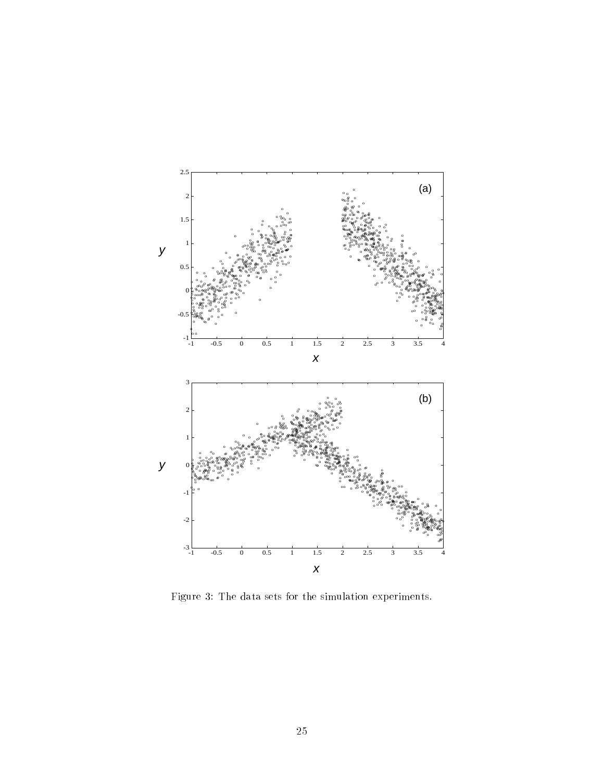

Figure 3: The data sets for the simulation experiments.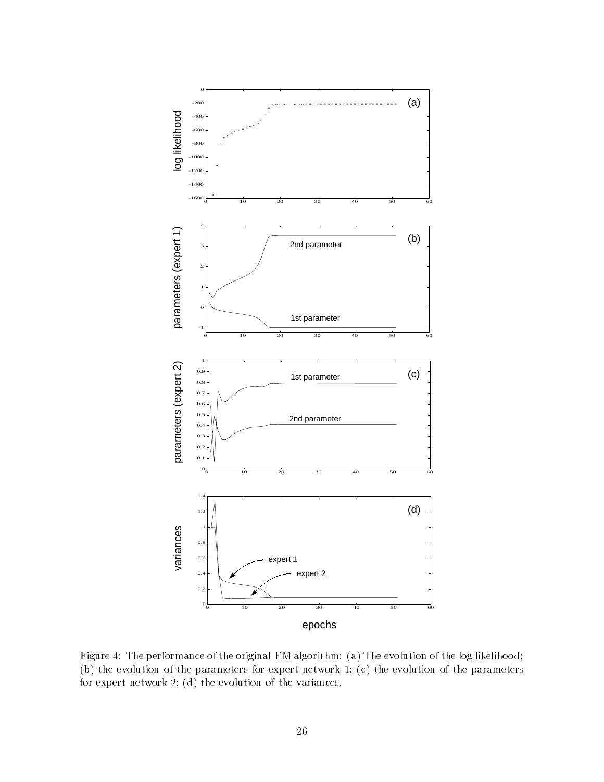

Figure 4: The performance of the original EM algorithm: (a) The evolution of the log likelihood; (b) the evolution of the parameters for expert network 1; (c) the evolution of the parameters for expert network 2; (d) the evolution of the variances.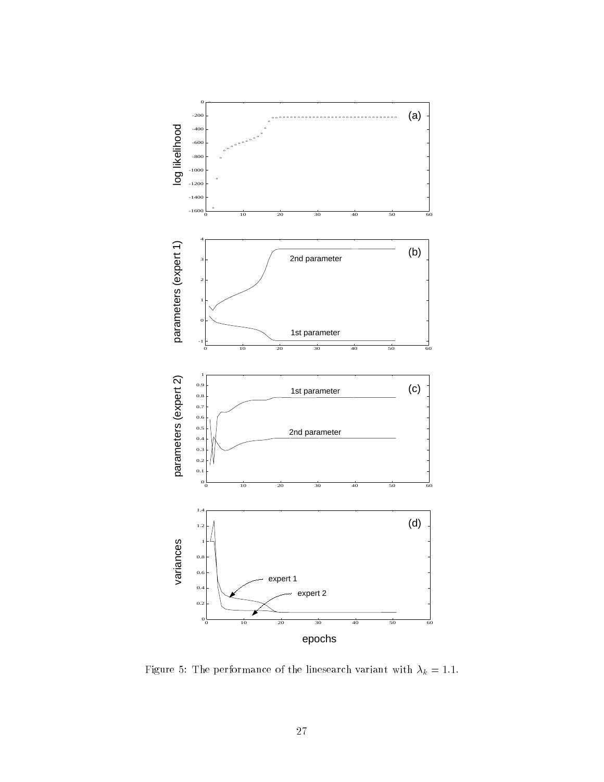

Figure 5: The performance of the linesearch variant with  $\lambda_k = 1.1$ .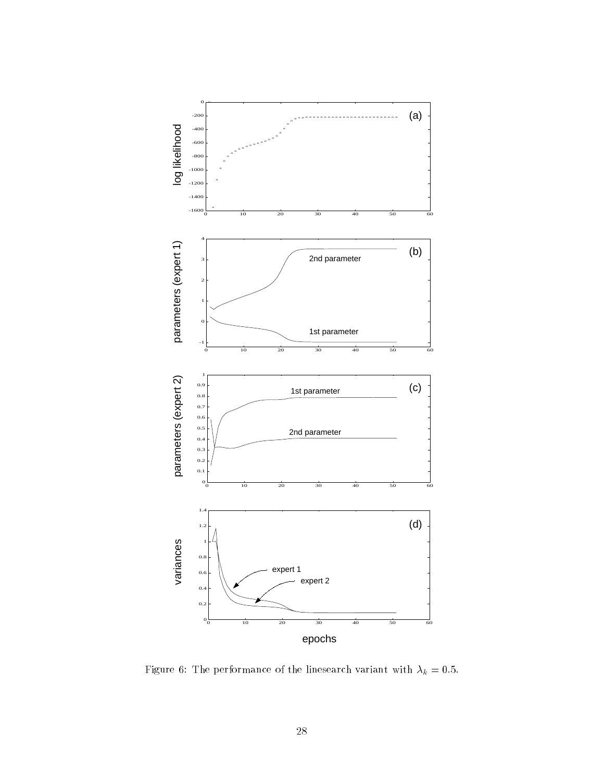

Figure 6: The performance of the linesearch variant with  $\lambda_k = 0.5$ .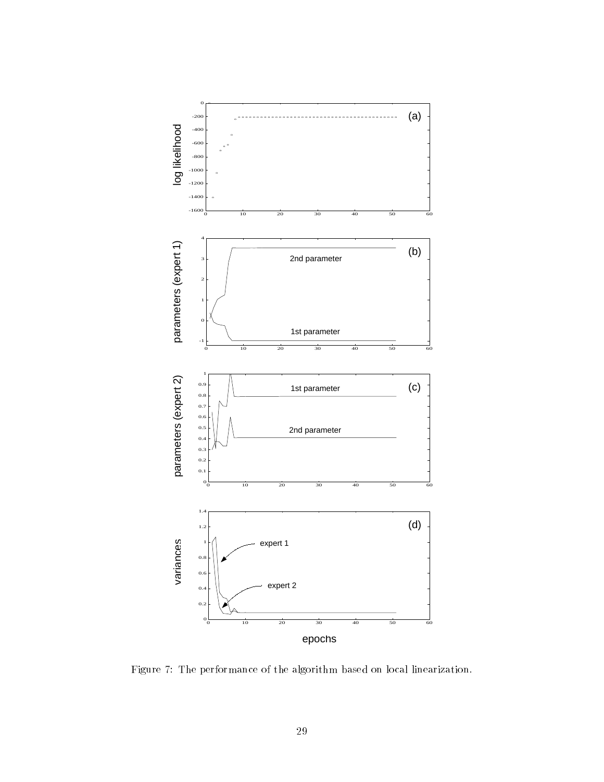

Figure 7: The performance of the algorithm based on local linearization.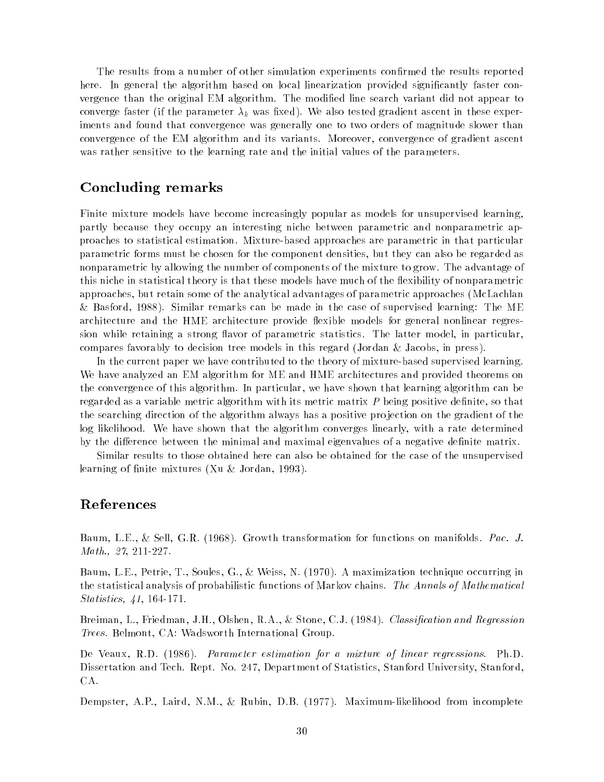The results from a number of other simulation experiments confirmed the results reported here. In general the algorithm based on local linearization provided significantly faster convergence than the original EM algorithm. The modied line search variant did not appear to converge faster (if the parameter  $\lambda_k$  was fixed). We also tested gradient ascent in these experiments and found that convergence was generally one to two orders of magnitude slower than convergence of the EM algorithm and its variants. Moreover, convergence of gradient ascent was rather sensitive to the learning rate and the initial values of the parameters.

## Concluding remarks

Finite mixture models have become increasingly popular as models for unsupervised learning, partly because they occupy an interesting niche between parametric and nonparametric approaches to statistical estimation. Mixture-based approaches are parametric in that particular parametric forms must be chosen for the component densities, but they can also be regarded as nonparametric by allowing the number of components of the mixture to grow. The advantage of this niche in statistical theory is that these models have much of the flexibility of nonparametric approaches, but retain some of the analytical advantages of parametric approaches (McLachlan & Basford, 1988). Similar remarks can be made in the case of supervised learning: The ME architecture and the HME architecture provide flexible models for general nonlinear regression while retaining a strong flavor of parametric statistics. The latter model, in particular, compares favorably to decision tree models in this regard (Jordan & Jacobs, in press).

In the current paper we have contributed to the theory of mixture-based supervised learning. We have analyzed an EM algorithm for ME and HME architectures and provided theorems on the convergence of this algorithm. In particular, we have shown that learning algorithm can be regarded as a variable metric algorithm with its metric matrix  $P$  being positive definite, so that the searching direction of the algorithm always has a positive projection on the gradient of the log likelihood. We have shown that the algorithm converges linearly, with a rate determined by the difference between the minimal and maximal eigenvalues of a negative definite matrix.

Similar results to those obtained here can also be obtained for the case of the unsupervised learning of finite mixtures (Xu & Jordan, 1993).

### References

Baum, L.E., & Sell, G.R. (1968). Growth transformation for functions on manifolds. Pac. J. Math., 27, 211-227.

Baum, L.E., Petrie, T., Soules, G., & Weiss, N. (1970). A maximization technique occurring in the statistical analysis of probabilistic functions of Markov chains. The Annals of Mathematical Statistics, 41, 164-171.

Breiman, L., Friedman, J.H., Olshen, R.A., & Stone, C.J. (1984). Classification and Regression Trees. Belmont, CA: Wadsworth International Group.

De Veaux, R.D. (1986). Parameter estimation for a mixture of linear regressions. Ph.D. Dissertation and Tech. Rept. No. 247, Department of Statistics, Stanford University, Stanford, CA.

Dempster, A.P., Laird, N.M., & Rubin, D.B. (1977). Maximum-likelihood from incomplete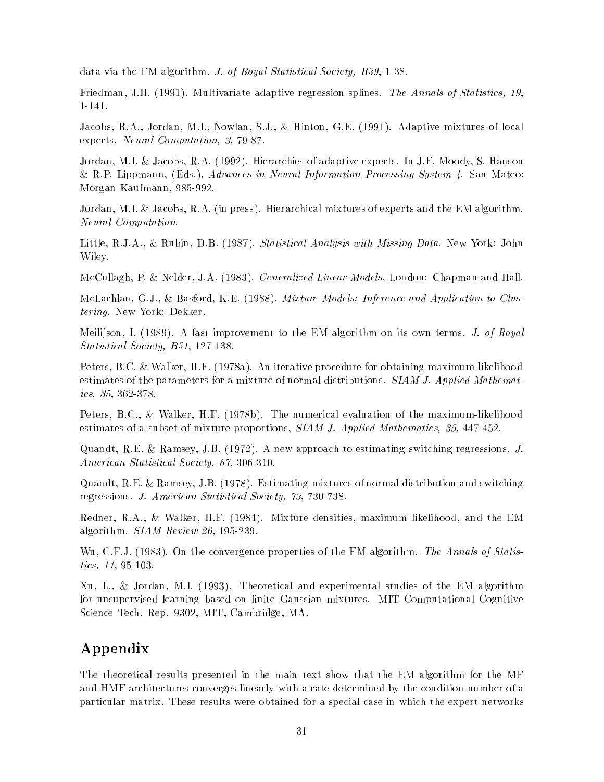data via the EM algorithm. J. of Royal Statistical Society, B39, 1-38.

Friedman, J.H. (1991). Multivariate adaptive regression splines. The Annals of Statistics, 19, 1-141.

Jacobs, R.A., Jordan, M.I., Nowlan, S.J., & Hinton, G.E. (1991). Adaptive mixtures of local experts. Neural Computation, 3, 79-87.

Jordan, M.I. & Jacobs, R.A. (1992). Hierarchies of adaptive experts. In J.E. Moody, S. Hanson & R.P. Lippmann, (Eds.), Advances in Neural Information Processing System 4. San Mateo: Morgan Kaufmann, 985-992.

Jordan, M.I. & Jacobs, R.A. (in press). Hierarchical mixtures of experts and the EM algorithm. Neural Computation.

Little, R.J.A., & Rubin, D.B. (1987). Statistical Analysis with Missing Data. New York: John Wiley.

McCullagh, P. & Nelder, J.A. (1983). Generalized Linear Models. London: Chapman and Hall.

McLachlan, G.J., & Basford, K.E. (1988). Mixture Models: Inference and Application to Clustering. New York: Dekker.

Meilijson, I. (1989). A fast improvement to the EM algorithm on its own terms. J. of Royal Statistical Society, B51, 127-138.

Peters, B.C. & Walker, H.F. (1978a). An iterative procedure for obtaining maximum-likelihood estimates of the parameters for a mixture of normal distributions. SIAM J. Applied Mathematics, 35, 362-378.

Peters, B.C., & Walker, H.F. (1978b). The numerical evaluation of the maximum-likelihood estimates of a subset of mixture proportions, SIAM J. Applied Mathematics, 35, 447-452.

Quandt, R.E. & Ramsey, J.B. (1972). A new approach to estimating switching regressions. J. American Statistical Society, 67, 306-310.

Quandt, R.E. & Ramsey, J.B. (1978). Estimating mixtures of normal distribution and switching regressions. J. American Statistical Society, 73, 730-738.

Redner, R.A., & Walker, H.F. (1984). Mixture densities, maximum likelihood, and the EM algorithm. SIAM Review 26, 195-239.

Wu, C.F.J. (1983). On the convergence properties of the EM algorithm. The Annals of Statistics, 11, 95-103.

Xu, L., & Jordan, M.I. (1993). Theoretical and experimental studies of the EM algorithm for unsupervised learning based on finite Gaussian mixtures. MIT Computational Cognitive Science Tech. Rep. 9302, MIT, Cambridge, MA.

## Appendix

The theoretical results presented in the main text show that the EM algorithm for the ME and HME architectures converges linearly with a rate determined by the condition number of a particular matrix. These results were obtained for a special case in which the expert networks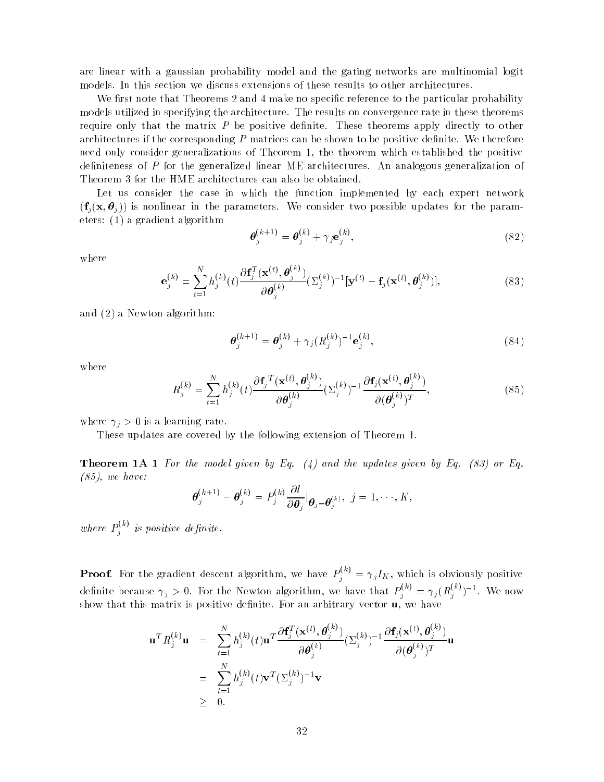are linear with a gaussian probability model and the gating networks are multinomial logit models. In this section we discuss extensions of these results to other architectures.

We first note that Theorems 2 and 4 make no specific reference to the particular probability models utilized in specifying the architecture. The results on convergence rate in these theorems require only that the matrix  $P$  be positive definite. These theorems apply directly to other architectures if the corresponding  $P$  matrices can be shown to be positive definite. We therefore need only consider generalizations of Theorem 1, the theorem which established the positive definiteness of P for the generalized linear ME architectures. An analogous generalization of Theorem 3 for the HME architectures can also be obtained.

Let us consider the case in which the function implemented by each expert network  $(f_i(x, \theta_i))$  is nonlinear in the parameters. We consider two possible updates for the parameters: (1) a gradient algorithm

$$
\boldsymbol{\theta}_{j}^{(k+1)} = \boldsymbol{\theta}_{j}^{(k)} + \gamma_{j} \mathbf{e}_{j}^{(k)},
$$
\n(82)

where

$$
\mathbf{e}_{j}^{(k)} = \sum_{t=1}^{N} h_{j}^{(k)}(t) \frac{\partial \mathbf{f}_{j}^{T}(\mathbf{x}^{(t)}, \boldsymbol{\theta}_{j}^{(k)})}{\partial \boldsymbol{\theta}_{j}^{(k)}} (\Sigma_{j}^{(k)})^{-1} [\mathbf{y}^{(t)} - \mathbf{f}_{j}(\mathbf{x}^{(t)}, \boldsymbol{\theta}_{j}^{(k)})],
$$
\n(83)

and (2) a Newton algorithm:

$$
\boldsymbol{\theta}_j^{(k+1)} = \boldsymbol{\theta}_j^{(k)} + \gamma_j (R_j^{(k)})^{-1} \mathbf{e}_j^{(k)},
$$
\n(84)

where

$$
R_j^{(k)} = \sum_{t=1}^N h_j^{(k)}(t) \frac{\partial \mathbf{f}_j^T(\mathbf{x}^{(t)}, \boldsymbol{\theta}_j^{(k)})}{\partial \boldsymbol{\theta}_j^{(k)}} (\Sigma_j^{(k)})^{-1} \frac{\partial \mathbf{f}_j(\mathbf{x}^{(t)}, \boldsymbol{\theta}_j^{(k)})}{\partial (\boldsymbol{\theta}_j^{(k)})^T},
$$
(85)

where  $\gamma_j > 0$  is a learning rate.

These updates are covered by the following extension of Theorem 1.

**Theorem 1A 1** For the model given by Eq.  $(4)$  and the updates given by Eq. (83) or Eq.  $(85)$ , we have:

$$
\boldsymbol{\theta}_j^{(k+1)} - \boldsymbol{\theta}_j^{(k)} = P_j^{(k)} \frac{\partial l}{\partial \boldsymbol{\theta}_j} |_{\boldsymbol{\theta}_j = \boldsymbol{\theta}_j^{(k)}}, \ j = 1, \cdots, K,
$$

where  $P_i^{(k)}$  is  $j$  as positive acquired.

**Proof.** For the gradient descent algorithm, we have  $P_j^{(k)} = \gamma_j I_K$ , which is obviously positive definite because  $\gamma_j > 0$ . For the Newton algorithm, we have that  $P_j^{(k)} = \gamma_j (R_j^{(k)})^{-1}$ . We now show that this matrix is positive definite. For an arbitrary vector **, we have** 

$$
\mathbf{u}^T R_j^{(k)} \mathbf{u} = \sum_{t=1}^N h_j^{(k)}(t) \mathbf{u}^T \frac{\partial \mathbf{f}_j^T(\mathbf{x}^{(t)}, \boldsymbol{\theta}_j^{(k)})}{\partial \boldsymbol{\theta}_j^{(k)}} (\Sigma_j^{(k)})^{-1} \frac{\partial \mathbf{f}_j(\mathbf{x}^{(t)}, \boldsymbol{\theta}_j^{(k)})}{\partial (\boldsymbol{\theta}_j^{(k)})^T}
$$
\n
$$
= \sum_{t=1}^N h_j^{(k)}(t) \mathbf{v}^T (\Sigma_j^{(k)})^{-1} \mathbf{v}
$$
\n
$$
\geq 0.
$$